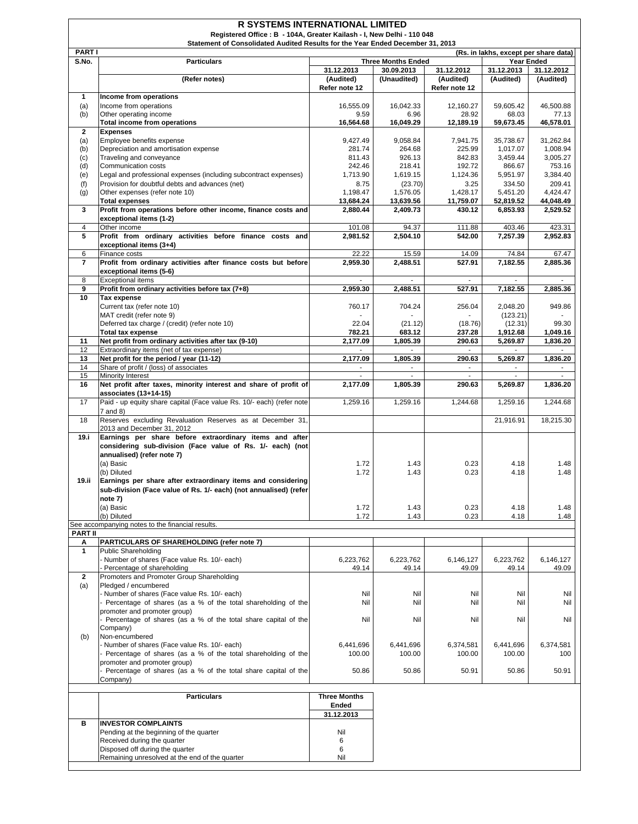| Statement of Consolidated Audited Results for the Year Ended December 31, 2013<br><b>PARTI</b><br>(Rs. in lakhs, except per share data)<br>S.No.<br><b>Particulars</b><br><b>Three Months Ended</b><br><b>Year Ended</b><br>31.12.2013<br>31.12.2013<br>30.09.2013<br>31.12.2012<br>31.12.2012<br>(Audited)<br>(Refer notes)<br>(Unaudited)<br>(Audited)<br>(Audited)<br>(Audited)<br>Refer note 12<br>Refer note 12<br>1<br>Income from operations<br>(a)<br>Income from operations<br>16,555.09<br>16,042.33<br>12,160.27<br>59,605.42<br>46,500.88<br>(b)<br>Other operating income<br>9.59<br>6.96<br>28.92<br>68.03<br>77.13<br>16,049.29<br>12,189.19<br>59,673.45<br>46,578.01<br>Total income from operations<br>16,564.68<br>$\mathbf{2}$<br><b>Expenses</b><br>Employee benefits expense<br>9,427.49<br>35,738.67<br>31,262.84<br>(a)<br>9,058.84<br>7,941.75<br>Depreciation and amortisation expense<br>281.74<br>264.68<br>225.99<br>1,017.07<br>1,008.94<br>(b)<br>811.43<br>926.13<br>842.83<br>3,005.27<br>(c)<br>Traveling and conveyance<br>3,459.44<br>753.16<br>242.46<br>218.41<br>192.72<br>(d)<br>Communication costs<br>866.67<br>Legal and professional expenses (including subcontract expenses)<br>1,713.90<br>1,619.15<br>1,124.36<br>5,951.97<br>3,384.40<br>(e)<br>Provision for doubtful debts and advances (net)<br>209.41<br>(f)<br>8.75<br>(23.70)<br>3.25<br>334.50<br>1,576.05<br>1,428.17<br>4,424.47<br>Other expenses (refer note 10)<br>1,198.47<br>5,451.20<br>(g)<br>44,048.49<br><b>Total expenses</b><br>13,684.24<br>13,639.56<br>11,759.07<br>52,819.52<br>3<br>Profit from operations before other income, finance costs and<br>2,880.44<br>2,409.73<br>430.12<br>2,529.52<br>6,853.93<br>exceptional items (1-2)<br>101.08<br>111.88<br>403.46<br>4<br>Other income<br>94.37<br>423.31<br>5<br>Profit from ordinary activities before finance costs and<br>2,504.10<br>542.00<br>2,981.52<br>7,257.39<br>2,952.83<br>exceptional items (3+4)<br>6<br>22.22<br>15.59<br>74.84<br>67.47<br>Finance costs<br>14.09<br>$\overline{7}$<br>Profit from ordinary activities after finance costs but before<br>2,959.30<br>2,488.51<br>527.91<br>7,182.55<br>2,885.36<br>exceptional items (5-6)<br>8<br><b>Exceptional items</b><br>$\blacksquare$<br>$\overline{\phantom{a}}$<br>9<br>Profit from ordinary activities before tax (7+8)<br>2,959.30<br>2,488.51<br>527.91<br>7,182.55<br>2,885.36<br>10<br>Tax expense<br>Current tax (refer note 10)<br>760.17<br>704.24<br>256.04<br>2,048.20<br>949.86<br>MAT credit (refer note 9)<br>(123.21)<br>Deferred tax charge / (credit) (refer note 10)<br>22.04<br>(21.12)<br>99.30<br>(18.76)<br>(12.31)<br><b>Total tax expense</b><br>683.12<br>782.21<br>237.28<br>1,912.68<br>1,049.16<br>11<br>Net profit from ordinary activities after tax (9-10)<br>2,177.09<br>1,805.39<br>5,269.87<br>1,836.20<br>290.63<br>12<br>Extraordinary items (net of tax expense)<br>13<br>2,177.09<br>1,805.39<br>290.63<br>5,269.87<br>1,836.20<br>Net profit for the period / year (11-12)<br>Share of profit / (loss) of associates<br>14<br>$\blacksquare$<br>$\overline{\phantom{a}}$<br>15<br>Minority Interest<br>$\omega$<br>$\blacksquare$<br>16<br>Net profit after taxes, minority interest and share of profit of<br>1,805.39<br>5,269.87<br>1,836.20<br>2,177.09<br>290.63<br>associates (13+14-15)<br>Paid - up equity share capital (Face value Rs. 10/- each) (refer note<br>17<br>1,259.16<br>1,259.16<br>1,244.68<br>1,259.16<br>1,244.68<br>7 and 8)<br>18<br>Reserves excluding Revaluation Reserves as at December 31,<br>21,916.91<br>18,215.30<br>2013 and December 31, 2012<br>19.i<br>Earnings per share before extraordinary items and after<br>considering sub-division (Face value of Rs. 1/- each) (not<br>annualised) (refer note 7)<br>(a) Basic<br>1.72<br>1.43<br>0.23<br>4.18<br>1.48<br>1.72<br>1.43<br>0.23<br>(b) Diluted<br>4.18<br>1.48<br>Earnings per share after extraordinary items and considering<br>19.ii<br>sub-division (Face value of Rs. 1/- each) (not annualised) (refer<br>note 7)<br>(a) Basic<br>1.72<br>1.43<br>4.18<br>0.23<br>1.48<br>(b) Diluted<br>1.72<br>1.43<br>0.23<br>4.18<br>1.48<br>See accompanying notes to the financial results.<br><b>PART II</b><br>PARTICULARS OF SHAREHOLDING (refer note 7)<br>Α<br>$\mathbf{1}$<br><b>Public Shareholding</b><br>Number of shares (Face value Rs. 10/- each)<br>6,223,762<br>6,146,127<br>6,223,762<br>6,223,762<br>6,146,127<br>Percentage of shareholding<br>49.14<br>49.14<br>49.09<br>49.14<br>49.09<br>Promoters and Promoter Group Shareholding<br>$\overline{2}$<br>(a)<br>Pledged / encumbered<br>Number of shares (Face value Rs. 10/- each)<br>Nil<br>Nil<br>Nil<br>Nil<br>Nil<br>Percentage of shares (as a % of the total shareholding of the<br>Nil<br>Nil<br>Nil<br>Nil<br>Nil<br>promoter and promoter group)<br>Percentage of shares (as a % of the total share capital of the<br>Nil<br>Nil<br>Nil<br>Nil<br>Nil<br>Company)<br>Non-encumbered<br>(b)<br>Number of shares (Face value Rs. 10/- each)<br>6,441,696<br>6,441,696<br>6,374,581<br>6,441,696<br>6,374,581<br>Percentage of shares (as a % of the total shareholding of the<br>100.00<br>100.00<br>100.00<br>100.00<br>100<br>promoter and promoter group)<br>Percentage of shares (as a % of the total share capital of the<br>50.86<br>50.91<br>50.86<br>50.91<br>50.86<br>Company)<br><b>Three Months</b><br><b>Particulars</b><br>Ended<br>31.12.2013<br><b>INVESTOR COMPLAINTS</b><br>в<br>Nil<br>Pending at the beginning of the quarter<br>Received during the quarter<br>6<br>Disposed off during the quarter<br>6<br>Remaining unresolved at the end of the quarter<br>Nil | <b>R SYSTEMS INTERNATIONAL LIMITED</b><br>Registered Office: B - 104A, Greater Kailash - I, New Delhi - 110 048 |  |  |  |  |  |  |  |  |
|----------------------------------------------------------------------------------------------------------------------------------------------------------------------------------------------------------------------------------------------------------------------------------------------------------------------------------------------------------------------------------------------------------------------------------------------------------------------------------------------------------------------------------------------------------------------------------------------------------------------------------------------------------------------------------------------------------------------------------------------------------------------------------------------------------------------------------------------------------------------------------------------------------------------------------------------------------------------------------------------------------------------------------------------------------------------------------------------------------------------------------------------------------------------------------------------------------------------------------------------------------------------------------------------------------------------------------------------------------------------------------------------------------------------------------------------------------------------------------------------------------------------------------------------------------------------------------------------------------------------------------------------------------------------------------------------------------------------------------------------------------------------------------------------------------------------------------------------------------------------------------------------------------------------------------------------------------------------------------------------------------------------------------------------------------------------------------------------------------------------------------------------------------------------------------------------------------------------------------------------------------------------------------------------------------------------------------------------------------------------------------------------------------------------------------------------------------------------------------------------------------------------------------------------------------------------------------------------------------------------------------------------------------------------------------------------------------------------------------------------------------------------------------------------------------------------------------------------------------------------------------------------------------------------------------------------------------------------------------------------------------------------------------------------------------------------------------------------------------------------------------------------------------------------------------------------------------------------------------------------------------------------------------------------------------------------------------------------------------------------------------------------------------------------------------------------------------------------------------------------------------------------------------------------------------------------------------------------------------------------------------------------------------------------------------------------------------------------------------------------------------------------------------------------------------------------------------------------------------------------------------------------------------------------------------------------------------------------------------------------------------------------------------------------------------------------------------------------------------------------------------------------------------------------------------------------------------------------------------------------------------------------------------------------------------------------------------------------------------------------------------------------------------------------------------------------------------------------------------------------------------------------------------------------------------------------------------------------------------------------------------------------------------------------------------------------------------------------------------------------------------------------------------------------------------------------------------------------------------------------------------------------------------------------------------------------------------------------------------------------------------------------------------------------------------------------------------------------------------------------------------------------------------------------------------------------------------------------------------------------------------------------------------------------------------------------------------------------------------------------------------------------------------------------------------------------------------------------------------------------------------------------------------------------------------------------------------------------------------------------------------------------------------------------------------------------------------------------------------------------------------|-----------------------------------------------------------------------------------------------------------------|--|--|--|--|--|--|--|--|
|                                                                                                                                                                                                                                                                                                                                                                                                                                                                                                                                                                                                                                                                                                                                                                                                                                                                                                                                                                                                                                                                                                                                                                                                                                                                                                                                                                                                                                                                                                                                                                                                                                                                                                                                                                                                                                                                                                                                                                                                                                                                                                                                                                                                                                                                                                                                                                                                                                                                                                                                                                                                                                                                                                                                                                                                                                                                                                                                                                                                                                                                                                                                                                                                                                                                                                                                                                                                                                                                                                                                                                                                                                                                                                                                                                                                                                                                                                                                                                                                                                                                                                                                                                                                                                                                                                                                                                                                                                                                                                                                                                                                                                                                                                                                                                                                                                                                                                                                                                                                                                                                                                                                                                                                                                                                                                                                                                                                                                                                                                                                                                                                                                                                                                                                                          |                                                                                                                 |  |  |  |  |  |  |  |  |
|                                                                                                                                                                                                                                                                                                                                                                                                                                                                                                                                                                                                                                                                                                                                                                                                                                                                                                                                                                                                                                                                                                                                                                                                                                                                                                                                                                                                                                                                                                                                                                                                                                                                                                                                                                                                                                                                                                                                                                                                                                                                                                                                                                                                                                                                                                                                                                                                                                                                                                                                                                                                                                                                                                                                                                                                                                                                                                                                                                                                                                                                                                                                                                                                                                                                                                                                                                                                                                                                                                                                                                                                                                                                                                                                                                                                                                                                                                                                                                                                                                                                                                                                                                                                                                                                                                                                                                                                                                                                                                                                                                                                                                                                                                                                                                                                                                                                                                                                                                                                                                                                                                                                                                                                                                                                                                                                                                                                                                                                                                                                                                                                                                                                                                                                                          |                                                                                                                 |  |  |  |  |  |  |  |  |
|                                                                                                                                                                                                                                                                                                                                                                                                                                                                                                                                                                                                                                                                                                                                                                                                                                                                                                                                                                                                                                                                                                                                                                                                                                                                                                                                                                                                                                                                                                                                                                                                                                                                                                                                                                                                                                                                                                                                                                                                                                                                                                                                                                                                                                                                                                                                                                                                                                                                                                                                                                                                                                                                                                                                                                                                                                                                                                                                                                                                                                                                                                                                                                                                                                                                                                                                                                                                                                                                                                                                                                                                                                                                                                                                                                                                                                                                                                                                                                                                                                                                                                                                                                                                                                                                                                                                                                                                                                                                                                                                                                                                                                                                                                                                                                                                                                                                                                                                                                                                                                                                                                                                                                                                                                                                                                                                                                                                                                                                                                                                                                                                                                                                                                                                                          |                                                                                                                 |  |  |  |  |  |  |  |  |
|                                                                                                                                                                                                                                                                                                                                                                                                                                                                                                                                                                                                                                                                                                                                                                                                                                                                                                                                                                                                                                                                                                                                                                                                                                                                                                                                                                                                                                                                                                                                                                                                                                                                                                                                                                                                                                                                                                                                                                                                                                                                                                                                                                                                                                                                                                                                                                                                                                                                                                                                                                                                                                                                                                                                                                                                                                                                                                                                                                                                                                                                                                                                                                                                                                                                                                                                                                                                                                                                                                                                                                                                                                                                                                                                                                                                                                                                                                                                                                                                                                                                                                                                                                                                                                                                                                                                                                                                                                                                                                                                                                                                                                                                                                                                                                                                                                                                                                                                                                                                                                                                                                                                                                                                                                                                                                                                                                                                                                                                                                                                                                                                                                                                                                                                                          |                                                                                                                 |  |  |  |  |  |  |  |  |
|                                                                                                                                                                                                                                                                                                                                                                                                                                                                                                                                                                                                                                                                                                                                                                                                                                                                                                                                                                                                                                                                                                                                                                                                                                                                                                                                                                                                                                                                                                                                                                                                                                                                                                                                                                                                                                                                                                                                                                                                                                                                                                                                                                                                                                                                                                                                                                                                                                                                                                                                                                                                                                                                                                                                                                                                                                                                                                                                                                                                                                                                                                                                                                                                                                                                                                                                                                                                                                                                                                                                                                                                                                                                                                                                                                                                                                                                                                                                                                                                                                                                                                                                                                                                                                                                                                                                                                                                                                                                                                                                                                                                                                                                                                                                                                                                                                                                                                                                                                                                                                                                                                                                                                                                                                                                                                                                                                                                                                                                                                                                                                                                                                                                                                                                                          |                                                                                                                 |  |  |  |  |  |  |  |  |
|                                                                                                                                                                                                                                                                                                                                                                                                                                                                                                                                                                                                                                                                                                                                                                                                                                                                                                                                                                                                                                                                                                                                                                                                                                                                                                                                                                                                                                                                                                                                                                                                                                                                                                                                                                                                                                                                                                                                                                                                                                                                                                                                                                                                                                                                                                                                                                                                                                                                                                                                                                                                                                                                                                                                                                                                                                                                                                                                                                                                                                                                                                                                                                                                                                                                                                                                                                                                                                                                                                                                                                                                                                                                                                                                                                                                                                                                                                                                                                                                                                                                                                                                                                                                                                                                                                                                                                                                                                                                                                                                                                                                                                                                                                                                                                                                                                                                                                                                                                                                                                                                                                                                                                                                                                                                                                                                                                                                                                                                                                                                                                                                                                                                                                                                                          |                                                                                                                 |  |  |  |  |  |  |  |  |
|                                                                                                                                                                                                                                                                                                                                                                                                                                                                                                                                                                                                                                                                                                                                                                                                                                                                                                                                                                                                                                                                                                                                                                                                                                                                                                                                                                                                                                                                                                                                                                                                                                                                                                                                                                                                                                                                                                                                                                                                                                                                                                                                                                                                                                                                                                                                                                                                                                                                                                                                                                                                                                                                                                                                                                                                                                                                                                                                                                                                                                                                                                                                                                                                                                                                                                                                                                                                                                                                                                                                                                                                                                                                                                                                                                                                                                                                                                                                                                                                                                                                                                                                                                                                                                                                                                                                                                                                                                                                                                                                                                                                                                                                                                                                                                                                                                                                                                                                                                                                                                                                                                                                                                                                                                                                                                                                                                                                                                                                                                                                                                                                                                                                                                                                                          |                                                                                                                 |  |  |  |  |  |  |  |  |
|                                                                                                                                                                                                                                                                                                                                                                                                                                                                                                                                                                                                                                                                                                                                                                                                                                                                                                                                                                                                                                                                                                                                                                                                                                                                                                                                                                                                                                                                                                                                                                                                                                                                                                                                                                                                                                                                                                                                                                                                                                                                                                                                                                                                                                                                                                                                                                                                                                                                                                                                                                                                                                                                                                                                                                                                                                                                                                                                                                                                                                                                                                                                                                                                                                                                                                                                                                                                                                                                                                                                                                                                                                                                                                                                                                                                                                                                                                                                                                                                                                                                                                                                                                                                                                                                                                                                                                                                                                                                                                                                                                                                                                                                                                                                                                                                                                                                                                                                                                                                                                                                                                                                                                                                                                                                                                                                                                                                                                                                                                                                                                                                                                                                                                                                                          |                                                                                                                 |  |  |  |  |  |  |  |  |
|                                                                                                                                                                                                                                                                                                                                                                                                                                                                                                                                                                                                                                                                                                                                                                                                                                                                                                                                                                                                                                                                                                                                                                                                                                                                                                                                                                                                                                                                                                                                                                                                                                                                                                                                                                                                                                                                                                                                                                                                                                                                                                                                                                                                                                                                                                                                                                                                                                                                                                                                                                                                                                                                                                                                                                                                                                                                                                                                                                                                                                                                                                                                                                                                                                                                                                                                                                                                                                                                                                                                                                                                                                                                                                                                                                                                                                                                                                                                                                                                                                                                                                                                                                                                                                                                                                                                                                                                                                                                                                                                                                                                                                                                                                                                                                                                                                                                                                                                                                                                                                                                                                                                                                                                                                                                                                                                                                                                                                                                                                                                                                                                                                                                                                                                                          |                                                                                                                 |  |  |  |  |  |  |  |  |
|                                                                                                                                                                                                                                                                                                                                                                                                                                                                                                                                                                                                                                                                                                                                                                                                                                                                                                                                                                                                                                                                                                                                                                                                                                                                                                                                                                                                                                                                                                                                                                                                                                                                                                                                                                                                                                                                                                                                                                                                                                                                                                                                                                                                                                                                                                                                                                                                                                                                                                                                                                                                                                                                                                                                                                                                                                                                                                                                                                                                                                                                                                                                                                                                                                                                                                                                                                                                                                                                                                                                                                                                                                                                                                                                                                                                                                                                                                                                                                                                                                                                                                                                                                                                                                                                                                                                                                                                                                                                                                                                                                                                                                                                                                                                                                                                                                                                                                                                                                                                                                                                                                                                                                                                                                                                                                                                                                                                                                                                                                                                                                                                                                                                                                                                                          |                                                                                                                 |  |  |  |  |  |  |  |  |
|                                                                                                                                                                                                                                                                                                                                                                                                                                                                                                                                                                                                                                                                                                                                                                                                                                                                                                                                                                                                                                                                                                                                                                                                                                                                                                                                                                                                                                                                                                                                                                                                                                                                                                                                                                                                                                                                                                                                                                                                                                                                                                                                                                                                                                                                                                                                                                                                                                                                                                                                                                                                                                                                                                                                                                                                                                                                                                                                                                                                                                                                                                                                                                                                                                                                                                                                                                                                                                                                                                                                                                                                                                                                                                                                                                                                                                                                                                                                                                                                                                                                                                                                                                                                                                                                                                                                                                                                                                                                                                                                                                                                                                                                                                                                                                                                                                                                                                                                                                                                                                                                                                                                                                                                                                                                                                                                                                                                                                                                                                                                                                                                                                                                                                                                                          |                                                                                                                 |  |  |  |  |  |  |  |  |
|                                                                                                                                                                                                                                                                                                                                                                                                                                                                                                                                                                                                                                                                                                                                                                                                                                                                                                                                                                                                                                                                                                                                                                                                                                                                                                                                                                                                                                                                                                                                                                                                                                                                                                                                                                                                                                                                                                                                                                                                                                                                                                                                                                                                                                                                                                                                                                                                                                                                                                                                                                                                                                                                                                                                                                                                                                                                                                                                                                                                                                                                                                                                                                                                                                                                                                                                                                                                                                                                                                                                                                                                                                                                                                                                                                                                                                                                                                                                                                                                                                                                                                                                                                                                                                                                                                                                                                                                                                                                                                                                                                                                                                                                                                                                                                                                                                                                                                                                                                                                                                                                                                                                                                                                                                                                                                                                                                                                                                                                                                                                                                                                                                                                                                                                                          |                                                                                                                 |  |  |  |  |  |  |  |  |
|                                                                                                                                                                                                                                                                                                                                                                                                                                                                                                                                                                                                                                                                                                                                                                                                                                                                                                                                                                                                                                                                                                                                                                                                                                                                                                                                                                                                                                                                                                                                                                                                                                                                                                                                                                                                                                                                                                                                                                                                                                                                                                                                                                                                                                                                                                                                                                                                                                                                                                                                                                                                                                                                                                                                                                                                                                                                                                                                                                                                                                                                                                                                                                                                                                                                                                                                                                                                                                                                                                                                                                                                                                                                                                                                                                                                                                                                                                                                                                                                                                                                                                                                                                                                                                                                                                                                                                                                                                                                                                                                                                                                                                                                                                                                                                                                                                                                                                                                                                                                                                                                                                                                                                                                                                                                                                                                                                                                                                                                                                                                                                                                                                                                                                                                                          |                                                                                                                 |  |  |  |  |  |  |  |  |
|                                                                                                                                                                                                                                                                                                                                                                                                                                                                                                                                                                                                                                                                                                                                                                                                                                                                                                                                                                                                                                                                                                                                                                                                                                                                                                                                                                                                                                                                                                                                                                                                                                                                                                                                                                                                                                                                                                                                                                                                                                                                                                                                                                                                                                                                                                                                                                                                                                                                                                                                                                                                                                                                                                                                                                                                                                                                                                                                                                                                                                                                                                                                                                                                                                                                                                                                                                                                                                                                                                                                                                                                                                                                                                                                                                                                                                                                                                                                                                                                                                                                                                                                                                                                                                                                                                                                                                                                                                                                                                                                                                                                                                                                                                                                                                                                                                                                                                                                                                                                                                                                                                                                                                                                                                                                                                                                                                                                                                                                                                                                                                                                                                                                                                                                                          |                                                                                                                 |  |  |  |  |  |  |  |  |
|                                                                                                                                                                                                                                                                                                                                                                                                                                                                                                                                                                                                                                                                                                                                                                                                                                                                                                                                                                                                                                                                                                                                                                                                                                                                                                                                                                                                                                                                                                                                                                                                                                                                                                                                                                                                                                                                                                                                                                                                                                                                                                                                                                                                                                                                                                                                                                                                                                                                                                                                                                                                                                                                                                                                                                                                                                                                                                                                                                                                                                                                                                                                                                                                                                                                                                                                                                                                                                                                                                                                                                                                                                                                                                                                                                                                                                                                                                                                                                                                                                                                                                                                                                                                                                                                                                                                                                                                                                                                                                                                                                                                                                                                                                                                                                                                                                                                                                                                                                                                                                                                                                                                                                                                                                                                                                                                                                                                                                                                                                                                                                                                                                                                                                                                                          |                                                                                                                 |  |  |  |  |  |  |  |  |
|                                                                                                                                                                                                                                                                                                                                                                                                                                                                                                                                                                                                                                                                                                                                                                                                                                                                                                                                                                                                                                                                                                                                                                                                                                                                                                                                                                                                                                                                                                                                                                                                                                                                                                                                                                                                                                                                                                                                                                                                                                                                                                                                                                                                                                                                                                                                                                                                                                                                                                                                                                                                                                                                                                                                                                                                                                                                                                                                                                                                                                                                                                                                                                                                                                                                                                                                                                                                                                                                                                                                                                                                                                                                                                                                                                                                                                                                                                                                                                                                                                                                                                                                                                                                                                                                                                                                                                                                                                                                                                                                                                                                                                                                                                                                                                                                                                                                                                                                                                                                                                                                                                                                                                                                                                                                                                                                                                                                                                                                                                                                                                                                                                                                                                                                                          |                                                                                                                 |  |  |  |  |  |  |  |  |
|                                                                                                                                                                                                                                                                                                                                                                                                                                                                                                                                                                                                                                                                                                                                                                                                                                                                                                                                                                                                                                                                                                                                                                                                                                                                                                                                                                                                                                                                                                                                                                                                                                                                                                                                                                                                                                                                                                                                                                                                                                                                                                                                                                                                                                                                                                                                                                                                                                                                                                                                                                                                                                                                                                                                                                                                                                                                                                                                                                                                                                                                                                                                                                                                                                                                                                                                                                                                                                                                                                                                                                                                                                                                                                                                                                                                                                                                                                                                                                                                                                                                                                                                                                                                                                                                                                                                                                                                                                                                                                                                                                                                                                                                                                                                                                                                                                                                                                                                                                                                                                                                                                                                                                                                                                                                                                                                                                                                                                                                                                                                                                                                                                                                                                                                                          |                                                                                                                 |  |  |  |  |  |  |  |  |
|                                                                                                                                                                                                                                                                                                                                                                                                                                                                                                                                                                                                                                                                                                                                                                                                                                                                                                                                                                                                                                                                                                                                                                                                                                                                                                                                                                                                                                                                                                                                                                                                                                                                                                                                                                                                                                                                                                                                                                                                                                                                                                                                                                                                                                                                                                                                                                                                                                                                                                                                                                                                                                                                                                                                                                                                                                                                                                                                                                                                                                                                                                                                                                                                                                                                                                                                                                                                                                                                                                                                                                                                                                                                                                                                                                                                                                                                                                                                                                                                                                                                                                                                                                                                                                                                                                                                                                                                                                                                                                                                                                                                                                                                                                                                                                                                                                                                                                                                                                                                                                                                                                                                                                                                                                                                                                                                                                                                                                                                                                                                                                                                                                                                                                                                                          |                                                                                                                 |  |  |  |  |  |  |  |  |
|                                                                                                                                                                                                                                                                                                                                                                                                                                                                                                                                                                                                                                                                                                                                                                                                                                                                                                                                                                                                                                                                                                                                                                                                                                                                                                                                                                                                                                                                                                                                                                                                                                                                                                                                                                                                                                                                                                                                                                                                                                                                                                                                                                                                                                                                                                                                                                                                                                                                                                                                                                                                                                                                                                                                                                                                                                                                                                                                                                                                                                                                                                                                                                                                                                                                                                                                                                                                                                                                                                                                                                                                                                                                                                                                                                                                                                                                                                                                                                                                                                                                                                                                                                                                                                                                                                                                                                                                                                                                                                                                                                                                                                                                                                                                                                                                                                                                                                                                                                                                                                                                                                                                                                                                                                                                                                                                                                                                                                                                                                                                                                                                                                                                                                                                                          |                                                                                                                 |  |  |  |  |  |  |  |  |
|                                                                                                                                                                                                                                                                                                                                                                                                                                                                                                                                                                                                                                                                                                                                                                                                                                                                                                                                                                                                                                                                                                                                                                                                                                                                                                                                                                                                                                                                                                                                                                                                                                                                                                                                                                                                                                                                                                                                                                                                                                                                                                                                                                                                                                                                                                                                                                                                                                                                                                                                                                                                                                                                                                                                                                                                                                                                                                                                                                                                                                                                                                                                                                                                                                                                                                                                                                                                                                                                                                                                                                                                                                                                                                                                                                                                                                                                                                                                                                                                                                                                                                                                                                                                                                                                                                                                                                                                                                                                                                                                                                                                                                                                                                                                                                                                                                                                                                                                                                                                                                                                                                                                                                                                                                                                                                                                                                                                                                                                                                                                                                                                                                                                                                                                                          |                                                                                                                 |  |  |  |  |  |  |  |  |
|                                                                                                                                                                                                                                                                                                                                                                                                                                                                                                                                                                                                                                                                                                                                                                                                                                                                                                                                                                                                                                                                                                                                                                                                                                                                                                                                                                                                                                                                                                                                                                                                                                                                                                                                                                                                                                                                                                                                                                                                                                                                                                                                                                                                                                                                                                                                                                                                                                                                                                                                                                                                                                                                                                                                                                                                                                                                                                                                                                                                                                                                                                                                                                                                                                                                                                                                                                                                                                                                                                                                                                                                                                                                                                                                                                                                                                                                                                                                                                                                                                                                                                                                                                                                                                                                                                                                                                                                                                                                                                                                                                                                                                                                                                                                                                                                                                                                                                                                                                                                                                                                                                                                                                                                                                                                                                                                                                                                                                                                                                                                                                                                                                                                                                                                                          |                                                                                                                 |  |  |  |  |  |  |  |  |
|                                                                                                                                                                                                                                                                                                                                                                                                                                                                                                                                                                                                                                                                                                                                                                                                                                                                                                                                                                                                                                                                                                                                                                                                                                                                                                                                                                                                                                                                                                                                                                                                                                                                                                                                                                                                                                                                                                                                                                                                                                                                                                                                                                                                                                                                                                                                                                                                                                                                                                                                                                                                                                                                                                                                                                                                                                                                                                                                                                                                                                                                                                                                                                                                                                                                                                                                                                                                                                                                                                                                                                                                                                                                                                                                                                                                                                                                                                                                                                                                                                                                                                                                                                                                                                                                                                                                                                                                                                                                                                                                                                                                                                                                                                                                                                                                                                                                                                                                                                                                                                                                                                                                                                                                                                                                                                                                                                                                                                                                                                                                                                                                                                                                                                                                                          |                                                                                                                 |  |  |  |  |  |  |  |  |
|                                                                                                                                                                                                                                                                                                                                                                                                                                                                                                                                                                                                                                                                                                                                                                                                                                                                                                                                                                                                                                                                                                                                                                                                                                                                                                                                                                                                                                                                                                                                                                                                                                                                                                                                                                                                                                                                                                                                                                                                                                                                                                                                                                                                                                                                                                                                                                                                                                                                                                                                                                                                                                                                                                                                                                                                                                                                                                                                                                                                                                                                                                                                                                                                                                                                                                                                                                                                                                                                                                                                                                                                                                                                                                                                                                                                                                                                                                                                                                                                                                                                                                                                                                                                                                                                                                                                                                                                                                                                                                                                                                                                                                                                                                                                                                                                                                                                                                                                                                                                                                                                                                                                                                                                                                                                                                                                                                                                                                                                                                                                                                                                                                                                                                                                                          |                                                                                                                 |  |  |  |  |  |  |  |  |
|                                                                                                                                                                                                                                                                                                                                                                                                                                                                                                                                                                                                                                                                                                                                                                                                                                                                                                                                                                                                                                                                                                                                                                                                                                                                                                                                                                                                                                                                                                                                                                                                                                                                                                                                                                                                                                                                                                                                                                                                                                                                                                                                                                                                                                                                                                                                                                                                                                                                                                                                                                                                                                                                                                                                                                                                                                                                                                                                                                                                                                                                                                                                                                                                                                                                                                                                                                                                                                                                                                                                                                                                                                                                                                                                                                                                                                                                                                                                                                                                                                                                                                                                                                                                                                                                                                                                                                                                                                                                                                                                                                                                                                                                                                                                                                                                                                                                                                                                                                                                                                                                                                                                                                                                                                                                                                                                                                                                                                                                                                                                                                                                                                                                                                                                                          |                                                                                                                 |  |  |  |  |  |  |  |  |
|                                                                                                                                                                                                                                                                                                                                                                                                                                                                                                                                                                                                                                                                                                                                                                                                                                                                                                                                                                                                                                                                                                                                                                                                                                                                                                                                                                                                                                                                                                                                                                                                                                                                                                                                                                                                                                                                                                                                                                                                                                                                                                                                                                                                                                                                                                                                                                                                                                                                                                                                                                                                                                                                                                                                                                                                                                                                                                                                                                                                                                                                                                                                                                                                                                                                                                                                                                                                                                                                                                                                                                                                                                                                                                                                                                                                                                                                                                                                                                                                                                                                                                                                                                                                                                                                                                                                                                                                                                                                                                                                                                                                                                                                                                                                                                                                                                                                                                                                                                                                                                                                                                                                                                                                                                                                                                                                                                                                                                                                                                                                                                                                                                                                                                                                                          |                                                                                                                 |  |  |  |  |  |  |  |  |
|                                                                                                                                                                                                                                                                                                                                                                                                                                                                                                                                                                                                                                                                                                                                                                                                                                                                                                                                                                                                                                                                                                                                                                                                                                                                                                                                                                                                                                                                                                                                                                                                                                                                                                                                                                                                                                                                                                                                                                                                                                                                                                                                                                                                                                                                                                                                                                                                                                                                                                                                                                                                                                                                                                                                                                                                                                                                                                                                                                                                                                                                                                                                                                                                                                                                                                                                                                                                                                                                                                                                                                                                                                                                                                                                                                                                                                                                                                                                                                                                                                                                                                                                                                                                                                                                                                                                                                                                                                                                                                                                                                                                                                                                                                                                                                                                                                                                                                                                                                                                                                                                                                                                                                                                                                                                                                                                                                                                                                                                                                                                                                                                                                                                                                                                                          |                                                                                                                 |  |  |  |  |  |  |  |  |
|                                                                                                                                                                                                                                                                                                                                                                                                                                                                                                                                                                                                                                                                                                                                                                                                                                                                                                                                                                                                                                                                                                                                                                                                                                                                                                                                                                                                                                                                                                                                                                                                                                                                                                                                                                                                                                                                                                                                                                                                                                                                                                                                                                                                                                                                                                                                                                                                                                                                                                                                                                                                                                                                                                                                                                                                                                                                                                                                                                                                                                                                                                                                                                                                                                                                                                                                                                                                                                                                                                                                                                                                                                                                                                                                                                                                                                                                                                                                                                                                                                                                                                                                                                                                                                                                                                                                                                                                                                                                                                                                                                                                                                                                                                                                                                                                                                                                                                                                                                                                                                                                                                                                                                                                                                                                                                                                                                                                                                                                                                                                                                                                                                                                                                                                                          |                                                                                                                 |  |  |  |  |  |  |  |  |
|                                                                                                                                                                                                                                                                                                                                                                                                                                                                                                                                                                                                                                                                                                                                                                                                                                                                                                                                                                                                                                                                                                                                                                                                                                                                                                                                                                                                                                                                                                                                                                                                                                                                                                                                                                                                                                                                                                                                                                                                                                                                                                                                                                                                                                                                                                                                                                                                                                                                                                                                                                                                                                                                                                                                                                                                                                                                                                                                                                                                                                                                                                                                                                                                                                                                                                                                                                                                                                                                                                                                                                                                                                                                                                                                                                                                                                                                                                                                                                                                                                                                                                                                                                                                                                                                                                                                                                                                                                                                                                                                                                                                                                                                                                                                                                                                                                                                                                                                                                                                                                                                                                                                                                                                                                                                                                                                                                                                                                                                                                                                                                                                                                                                                                                                                          |                                                                                                                 |  |  |  |  |  |  |  |  |
|                                                                                                                                                                                                                                                                                                                                                                                                                                                                                                                                                                                                                                                                                                                                                                                                                                                                                                                                                                                                                                                                                                                                                                                                                                                                                                                                                                                                                                                                                                                                                                                                                                                                                                                                                                                                                                                                                                                                                                                                                                                                                                                                                                                                                                                                                                                                                                                                                                                                                                                                                                                                                                                                                                                                                                                                                                                                                                                                                                                                                                                                                                                                                                                                                                                                                                                                                                                                                                                                                                                                                                                                                                                                                                                                                                                                                                                                                                                                                                                                                                                                                                                                                                                                                                                                                                                                                                                                                                                                                                                                                                                                                                                                                                                                                                                                                                                                                                                                                                                                                                                                                                                                                                                                                                                                                                                                                                                                                                                                                                                                                                                                                                                                                                                                                          |                                                                                                                 |  |  |  |  |  |  |  |  |
|                                                                                                                                                                                                                                                                                                                                                                                                                                                                                                                                                                                                                                                                                                                                                                                                                                                                                                                                                                                                                                                                                                                                                                                                                                                                                                                                                                                                                                                                                                                                                                                                                                                                                                                                                                                                                                                                                                                                                                                                                                                                                                                                                                                                                                                                                                                                                                                                                                                                                                                                                                                                                                                                                                                                                                                                                                                                                                                                                                                                                                                                                                                                                                                                                                                                                                                                                                                                                                                                                                                                                                                                                                                                                                                                                                                                                                                                                                                                                                                                                                                                                                                                                                                                                                                                                                                                                                                                                                                                                                                                                                                                                                                                                                                                                                                                                                                                                                                                                                                                                                                                                                                                                                                                                                                                                                                                                                                                                                                                                                                                                                                                                                                                                                                                                          |                                                                                                                 |  |  |  |  |  |  |  |  |
|                                                                                                                                                                                                                                                                                                                                                                                                                                                                                                                                                                                                                                                                                                                                                                                                                                                                                                                                                                                                                                                                                                                                                                                                                                                                                                                                                                                                                                                                                                                                                                                                                                                                                                                                                                                                                                                                                                                                                                                                                                                                                                                                                                                                                                                                                                                                                                                                                                                                                                                                                                                                                                                                                                                                                                                                                                                                                                                                                                                                                                                                                                                                                                                                                                                                                                                                                                                                                                                                                                                                                                                                                                                                                                                                                                                                                                                                                                                                                                                                                                                                                                                                                                                                                                                                                                                                                                                                                                                                                                                                                                                                                                                                                                                                                                                                                                                                                                                                                                                                                                                                                                                                                                                                                                                                                                                                                                                                                                                                                                                                                                                                                                                                                                                                                          |                                                                                                                 |  |  |  |  |  |  |  |  |
|                                                                                                                                                                                                                                                                                                                                                                                                                                                                                                                                                                                                                                                                                                                                                                                                                                                                                                                                                                                                                                                                                                                                                                                                                                                                                                                                                                                                                                                                                                                                                                                                                                                                                                                                                                                                                                                                                                                                                                                                                                                                                                                                                                                                                                                                                                                                                                                                                                                                                                                                                                                                                                                                                                                                                                                                                                                                                                                                                                                                                                                                                                                                                                                                                                                                                                                                                                                                                                                                                                                                                                                                                                                                                                                                                                                                                                                                                                                                                                                                                                                                                                                                                                                                                                                                                                                                                                                                                                                                                                                                                                                                                                                                                                                                                                                                                                                                                                                                                                                                                                                                                                                                                                                                                                                                                                                                                                                                                                                                                                                                                                                                                                                                                                                                                          |                                                                                                                 |  |  |  |  |  |  |  |  |
|                                                                                                                                                                                                                                                                                                                                                                                                                                                                                                                                                                                                                                                                                                                                                                                                                                                                                                                                                                                                                                                                                                                                                                                                                                                                                                                                                                                                                                                                                                                                                                                                                                                                                                                                                                                                                                                                                                                                                                                                                                                                                                                                                                                                                                                                                                                                                                                                                                                                                                                                                                                                                                                                                                                                                                                                                                                                                                                                                                                                                                                                                                                                                                                                                                                                                                                                                                                                                                                                                                                                                                                                                                                                                                                                                                                                                                                                                                                                                                                                                                                                                                                                                                                                                                                                                                                                                                                                                                                                                                                                                                                                                                                                                                                                                                                                                                                                                                                                                                                                                                                                                                                                                                                                                                                                                                                                                                                                                                                                                                                                                                                                                                                                                                                                                          |                                                                                                                 |  |  |  |  |  |  |  |  |
|                                                                                                                                                                                                                                                                                                                                                                                                                                                                                                                                                                                                                                                                                                                                                                                                                                                                                                                                                                                                                                                                                                                                                                                                                                                                                                                                                                                                                                                                                                                                                                                                                                                                                                                                                                                                                                                                                                                                                                                                                                                                                                                                                                                                                                                                                                                                                                                                                                                                                                                                                                                                                                                                                                                                                                                                                                                                                                                                                                                                                                                                                                                                                                                                                                                                                                                                                                                                                                                                                                                                                                                                                                                                                                                                                                                                                                                                                                                                                                                                                                                                                                                                                                                                                                                                                                                                                                                                                                                                                                                                                                                                                                                                                                                                                                                                                                                                                                                                                                                                                                                                                                                                                                                                                                                                                                                                                                                                                                                                                                                                                                                                                                                                                                                                                          |                                                                                                                 |  |  |  |  |  |  |  |  |
|                                                                                                                                                                                                                                                                                                                                                                                                                                                                                                                                                                                                                                                                                                                                                                                                                                                                                                                                                                                                                                                                                                                                                                                                                                                                                                                                                                                                                                                                                                                                                                                                                                                                                                                                                                                                                                                                                                                                                                                                                                                                                                                                                                                                                                                                                                                                                                                                                                                                                                                                                                                                                                                                                                                                                                                                                                                                                                                                                                                                                                                                                                                                                                                                                                                                                                                                                                                                                                                                                                                                                                                                                                                                                                                                                                                                                                                                                                                                                                                                                                                                                                                                                                                                                                                                                                                                                                                                                                                                                                                                                                                                                                                                                                                                                                                                                                                                                                                                                                                                                                                                                                                                                                                                                                                                                                                                                                                                                                                                                                                                                                                                                                                                                                                                                          |                                                                                                                 |  |  |  |  |  |  |  |  |
|                                                                                                                                                                                                                                                                                                                                                                                                                                                                                                                                                                                                                                                                                                                                                                                                                                                                                                                                                                                                                                                                                                                                                                                                                                                                                                                                                                                                                                                                                                                                                                                                                                                                                                                                                                                                                                                                                                                                                                                                                                                                                                                                                                                                                                                                                                                                                                                                                                                                                                                                                                                                                                                                                                                                                                                                                                                                                                                                                                                                                                                                                                                                                                                                                                                                                                                                                                                                                                                                                                                                                                                                                                                                                                                                                                                                                                                                                                                                                                                                                                                                                                                                                                                                                                                                                                                                                                                                                                                                                                                                                                                                                                                                                                                                                                                                                                                                                                                                                                                                                                                                                                                                                                                                                                                                                                                                                                                                                                                                                                                                                                                                                                                                                                                                                          |                                                                                                                 |  |  |  |  |  |  |  |  |
|                                                                                                                                                                                                                                                                                                                                                                                                                                                                                                                                                                                                                                                                                                                                                                                                                                                                                                                                                                                                                                                                                                                                                                                                                                                                                                                                                                                                                                                                                                                                                                                                                                                                                                                                                                                                                                                                                                                                                                                                                                                                                                                                                                                                                                                                                                                                                                                                                                                                                                                                                                                                                                                                                                                                                                                                                                                                                                                                                                                                                                                                                                                                                                                                                                                                                                                                                                                                                                                                                                                                                                                                                                                                                                                                                                                                                                                                                                                                                                                                                                                                                                                                                                                                                                                                                                                                                                                                                                                                                                                                                                                                                                                                                                                                                                                                                                                                                                                                                                                                                                                                                                                                                                                                                                                                                                                                                                                                                                                                                                                                                                                                                                                                                                                                                          |                                                                                                                 |  |  |  |  |  |  |  |  |
|                                                                                                                                                                                                                                                                                                                                                                                                                                                                                                                                                                                                                                                                                                                                                                                                                                                                                                                                                                                                                                                                                                                                                                                                                                                                                                                                                                                                                                                                                                                                                                                                                                                                                                                                                                                                                                                                                                                                                                                                                                                                                                                                                                                                                                                                                                                                                                                                                                                                                                                                                                                                                                                                                                                                                                                                                                                                                                                                                                                                                                                                                                                                                                                                                                                                                                                                                                                                                                                                                                                                                                                                                                                                                                                                                                                                                                                                                                                                                                                                                                                                                                                                                                                                                                                                                                                                                                                                                                                                                                                                                                                                                                                                                                                                                                                                                                                                                                                                                                                                                                                                                                                                                                                                                                                                                                                                                                                                                                                                                                                                                                                                                                                                                                                                                          |                                                                                                                 |  |  |  |  |  |  |  |  |
|                                                                                                                                                                                                                                                                                                                                                                                                                                                                                                                                                                                                                                                                                                                                                                                                                                                                                                                                                                                                                                                                                                                                                                                                                                                                                                                                                                                                                                                                                                                                                                                                                                                                                                                                                                                                                                                                                                                                                                                                                                                                                                                                                                                                                                                                                                                                                                                                                                                                                                                                                                                                                                                                                                                                                                                                                                                                                                                                                                                                                                                                                                                                                                                                                                                                                                                                                                                                                                                                                                                                                                                                                                                                                                                                                                                                                                                                                                                                                                                                                                                                                                                                                                                                                                                                                                                                                                                                                                                                                                                                                                                                                                                                                                                                                                                                                                                                                                                                                                                                                                                                                                                                                                                                                                                                                                                                                                                                                                                                                                                                                                                                                                                                                                                                                          |                                                                                                                 |  |  |  |  |  |  |  |  |
|                                                                                                                                                                                                                                                                                                                                                                                                                                                                                                                                                                                                                                                                                                                                                                                                                                                                                                                                                                                                                                                                                                                                                                                                                                                                                                                                                                                                                                                                                                                                                                                                                                                                                                                                                                                                                                                                                                                                                                                                                                                                                                                                                                                                                                                                                                                                                                                                                                                                                                                                                                                                                                                                                                                                                                                                                                                                                                                                                                                                                                                                                                                                                                                                                                                                                                                                                                                                                                                                                                                                                                                                                                                                                                                                                                                                                                                                                                                                                                                                                                                                                                                                                                                                                                                                                                                                                                                                                                                                                                                                                                                                                                                                                                                                                                                                                                                                                                                                                                                                                                                                                                                                                                                                                                                                                                                                                                                                                                                                                                                                                                                                                                                                                                                                                          |                                                                                                                 |  |  |  |  |  |  |  |  |
|                                                                                                                                                                                                                                                                                                                                                                                                                                                                                                                                                                                                                                                                                                                                                                                                                                                                                                                                                                                                                                                                                                                                                                                                                                                                                                                                                                                                                                                                                                                                                                                                                                                                                                                                                                                                                                                                                                                                                                                                                                                                                                                                                                                                                                                                                                                                                                                                                                                                                                                                                                                                                                                                                                                                                                                                                                                                                                                                                                                                                                                                                                                                                                                                                                                                                                                                                                                                                                                                                                                                                                                                                                                                                                                                                                                                                                                                                                                                                                                                                                                                                                                                                                                                                                                                                                                                                                                                                                                                                                                                                                                                                                                                                                                                                                                                                                                                                                                                                                                                                                                                                                                                                                                                                                                                                                                                                                                                                                                                                                                                                                                                                                                                                                                                                          |                                                                                                                 |  |  |  |  |  |  |  |  |
|                                                                                                                                                                                                                                                                                                                                                                                                                                                                                                                                                                                                                                                                                                                                                                                                                                                                                                                                                                                                                                                                                                                                                                                                                                                                                                                                                                                                                                                                                                                                                                                                                                                                                                                                                                                                                                                                                                                                                                                                                                                                                                                                                                                                                                                                                                                                                                                                                                                                                                                                                                                                                                                                                                                                                                                                                                                                                                                                                                                                                                                                                                                                                                                                                                                                                                                                                                                                                                                                                                                                                                                                                                                                                                                                                                                                                                                                                                                                                                                                                                                                                                                                                                                                                                                                                                                                                                                                                                                                                                                                                                                                                                                                                                                                                                                                                                                                                                                                                                                                                                                                                                                                                                                                                                                                                                                                                                                                                                                                                                                                                                                                                                                                                                                                                          |                                                                                                                 |  |  |  |  |  |  |  |  |
|                                                                                                                                                                                                                                                                                                                                                                                                                                                                                                                                                                                                                                                                                                                                                                                                                                                                                                                                                                                                                                                                                                                                                                                                                                                                                                                                                                                                                                                                                                                                                                                                                                                                                                                                                                                                                                                                                                                                                                                                                                                                                                                                                                                                                                                                                                                                                                                                                                                                                                                                                                                                                                                                                                                                                                                                                                                                                                                                                                                                                                                                                                                                                                                                                                                                                                                                                                                                                                                                                                                                                                                                                                                                                                                                                                                                                                                                                                                                                                                                                                                                                                                                                                                                                                                                                                                                                                                                                                                                                                                                                                                                                                                                                                                                                                                                                                                                                                                                                                                                                                                                                                                                                                                                                                                                                                                                                                                                                                                                                                                                                                                                                                                                                                                                                          |                                                                                                                 |  |  |  |  |  |  |  |  |
|                                                                                                                                                                                                                                                                                                                                                                                                                                                                                                                                                                                                                                                                                                                                                                                                                                                                                                                                                                                                                                                                                                                                                                                                                                                                                                                                                                                                                                                                                                                                                                                                                                                                                                                                                                                                                                                                                                                                                                                                                                                                                                                                                                                                                                                                                                                                                                                                                                                                                                                                                                                                                                                                                                                                                                                                                                                                                                                                                                                                                                                                                                                                                                                                                                                                                                                                                                                                                                                                                                                                                                                                                                                                                                                                                                                                                                                                                                                                                                                                                                                                                                                                                                                                                                                                                                                                                                                                                                                                                                                                                                                                                                                                                                                                                                                                                                                                                                                                                                                                                                                                                                                                                                                                                                                                                                                                                                                                                                                                                                                                                                                                                                                                                                                                                          |                                                                                                                 |  |  |  |  |  |  |  |  |
|                                                                                                                                                                                                                                                                                                                                                                                                                                                                                                                                                                                                                                                                                                                                                                                                                                                                                                                                                                                                                                                                                                                                                                                                                                                                                                                                                                                                                                                                                                                                                                                                                                                                                                                                                                                                                                                                                                                                                                                                                                                                                                                                                                                                                                                                                                                                                                                                                                                                                                                                                                                                                                                                                                                                                                                                                                                                                                                                                                                                                                                                                                                                                                                                                                                                                                                                                                                                                                                                                                                                                                                                                                                                                                                                                                                                                                                                                                                                                                                                                                                                                                                                                                                                                                                                                                                                                                                                                                                                                                                                                                                                                                                                                                                                                                                                                                                                                                                                                                                                                                                                                                                                                                                                                                                                                                                                                                                                                                                                                                                                                                                                                                                                                                                                                          |                                                                                                                 |  |  |  |  |  |  |  |  |
|                                                                                                                                                                                                                                                                                                                                                                                                                                                                                                                                                                                                                                                                                                                                                                                                                                                                                                                                                                                                                                                                                                                                                                                                                                                                                                                                                                                                                                                                                                                                                                                                                                                                                                                                                                                                                                                                                                                                                                                                                                                                                                                                                                                                                                                                                                                                                                                                                                                                                                                                                                                                                                                                                                                                                                                                                                                                                                                                                                                                                                                                                                                                                                                                                                                                                                                                                                                                                                                                                                                                                                                                                                                                                                                                                                                                                                                                                                                                                                                                                                                                                                                                                                                                                                                                                                                                                                                                                                                                                                                                                                                                                                                                                                                                                                                                                                                                                                                                                                                                                                                                                                                                                                                                                                                                                                                                                                                                                                                                                                                                                                                                                                                                                                                                                          |                                                                                                                 |  |  |  |  |  |  |  |  |
|                                                                                                                                                                                                                                                                                                                                                                                                                                                                                                                                                                                                                                                                                                                                                                                                                                                                                                                                                                                                                                                                                                                                                                                                                                                                                                                                                                                                                                                                                                                                                                                                                                                                                                                                                                                                                                                                                                                                                                                                                                                                                                                                                                                                                                                                                                                                                                                                                                                                                                                                                                                                                                                                                                                                                                                                                                                                                                                                                                                                                                                                                                                                                                                                                                                                                                                                                                                                                                                                                                                                                                                                                                                                                                                                                                                                                                                                                                                                                                                                                                                                                                                                                                                                                                                                                                                                                                                                                                                                                                                                                                                                                                                                                                                                                                                                                                                                                                                                                                                                                                                                                                                                                                                                                                                                                                                                                                                                                                                                                                                                                                                                                                                                                                                                                          |                                                                                                                 |  |  |  |  |  |  |  |  |
|                                                                                                                                                                                                                                                                                                                                                                                                                                                                                                                                                                                                                                                                                                                                                                                                                                                                                                                                                                                                                                                                                                                                                                                                                                                                                                                                                                                                                                                                                                                                                                                                                                                                                                                                                                                                                                                                                                                                                                                                                                                                                                                                                                                                                                                                                                                                                                                                                                                                                                                                                                                                                                                                                                                                                                                                                                                                                                                                                                                                                                                                                                                                                                                                                                                                                                                                                                                                                                                                                                                                                                                                                                                                                                                                                                                                                                                                                                                                                                                                                                                                                                                                                                                                                                                                                                                                                                                                                                                                                                                                                                                                                                                                                                                                                                                                                                                                                                                                                                                                                                                                                                                                                                                                                                                                                                                                                                                                                                                                                                                                                                                                                                                                                                                                                          |                                                                                                                 |  |  |  |  |  |  |  |  |
|                                                                                                                                                                                                                                                                                                                                                                                                                                                                                                                                                                                                                                                                                                                                                                                                                                                                                                                                                                                                                                                                                                                                                                                                                                                                                                                                                                                                                                                                                                                                                                                                                                                                                                                                                                                                                                                                                                                                                                                                                                                                                                                                                                                                                                                                                                                                                                                                                                                                                                                                                                                                                                                                                                                                                                                                                                                                                                                                                                                                                                                                                                                                                                                                                                                                                                                                                                                                                                                                                                                                                                                                                                                                                                                                                                                                                                                                                                                                                                                                                                                                                                                                                                                                                                                                                                                                                                                                                                                                                                                                                                                                                                                                                                                                                                                                                                                                                                                                                                                                                                                                                                                                                                                                                                                                                                                                                                                                                                                                                                                                                                                                                                                                                                                                                          |                                                                                                                 |  |  |  |  |  |  |  |  |
|                                                                                                                                                                                                                                                                                                                                                                                                                                                                                                                                                                                                                                                                                                                                                                                                                                                                                                                                                                                                                                                                                                                                                                                                                                                                                                                                                                                                                                                                                                                                                                                                                                                                                                                                                                                                                                                                                                                                                                                                                                                                                                                                                                                                                                                                                                                                                                                                                                                                                                                                                                                                                                                                                                                                                                                                                                                                                                                                                                                                                                                                                                                                                                                                                                                                                                                                                                                                                                                                                                                                                                                                                                                                                                                                                                                                                                                                                                                                                                                                                                                                                                                                                                                                                                                                                                                                                                                                                                                                                                                                                                                                                                                                                                                                                                                                                                                                                                                                                                                                                                                                                                                                                                                                                                                                                                                                                                                                                                                                                                                                                                                                                                                                                                                                                          |                                                                                                                 |  |  |  |  |  |  |  |  |
|                                                                                                                                                                                                                                                                                                                                                                                                                                                                                                                                                                                                                                                                                                                                                                                                                                                                                                                                                                                                                                                                                                                                                                                                                                                                                                                                                                                                                                                                                                                                                                                                                                                                                                                                                                                                                                                                                                                                                                                                                                                                                                                                                                                                                                                                                                                                                                                                                                                                                                                                                                                                                                                                                                                                                                                                                                                                                                                                                                                                                                                                                                                                                                                                                                                                                                                                                                                                                                                                                                                                                                                                                                                                                                                                                                                                                                                                                                                                                                                                                                                                                                                                                                                                                                                                                                                                                                                                                                                                                                                                                                                                                                                                                                                                                                                                                                                                                                                                                                                                                                                                                                                                                                                                                                                                                                                                                                                                                                                                                                                                                                                                                                                                                                                                                          |                                                                                                                 |  |  |  |  |  |  |  |  |
|                                                                                                                                                                                                                                                                                                                                                                                                                                                                                                                                                                                                                                                                                                                                                                                                                                                                                                                                                                                                                                                                                                                                                                                                                                                                                                                                                                                                                                                                                                                                                                                                                                                                                                                                                                                                                                                                                                                                                                                                                                                                                                                                                                                                                                                                                                                                                                                                                                                                                                                                                                                                                                                                                                                                                                                                                                                                                                                                                                                                                                                                                                                                                                                                                                                                                                                                                                                                                                                                                                                                                                                                                                                                                                                                                                                                                                                                                                                                                                                                                                                                                                                                                                                                                                                                                                                                                                                                                                                                                                                                                                                                                                                                                                                                                                                                                                                                                                                                                                                                                                                                                                                                                                                                                                                                                                                                                                                                                                                                                                                                                                                                                                                                                                                                                          |                                                                                                                 |  |  |  |  |  |  |  |  |
|                                                                                                                                                                                                                                                                                                                                                                                                                                                                                                                                                                                                                                                                                                                                                                                                                                                                                                                                                                                                                                                                                                                                                                                                                                                                                                                                                                                                                                                                                                                                                                                                                                                                                                                                                                                                                                                                                                                                                                                                                                                                                                                                                                                                                                                                                                                                                                                                                                                                                                                                                                                                                                                                                                                                                                                                                                                                                                                                                                                                                                                                                                                                                                                                                                                                                                                                                                                                                                                                                                                                                                                                                                                                                                                                                                                                                                                                                                                                                                                                                                                                                                                                                                                                                                                                                                                                                                                                                                                                                                                                                                                                                                                                                                                                                                                                                                                                                                                                                                                                                                                                                                                                                                                                                                                                                                                                                                                                                                                                                                                                                                                                                                                                                                                                                          |                                                                                                                 |  |  |  |  |  |  |  |  |
|                                                                                                                                                                                                                                                                                                                                                                                                                                                                                                                                                                                                                                                                                                                                                                                                                                                                                                                                                                                                                                                                                                                                                                                                                                                                                                                                                                                                                                                                                                                                                                                                                                                                                                                                                                                                                                                                                                                                                                                                                                                                                                                                                                                                                                                                                                                                                                                                                                                                                                                                                                                                                                                                                                                                                                                                                                                                                                                                                                                                                                                                                                                                                                                                                                                                                                                                                                                                                                                                                                                                                                                                                                                                                                                                                                                                                                                                                                                                                                                                                                                                                                                                                                                                                                                                                                                                                                                                                                                                                                                                                                                                                                                                                                                                                                                                                                                                                                                                                                                                                                                                                                                                                                                                                                                                                                                                                                                                                                                                                                                                                                                                                                                                                                                                                          |                                                                                                                 |  |  |  |  |  |  |  |  |
|                                                                                                                                                                                                                                                                                                                                                                                                                                                                                                                                                                                                                                                                                                                                                                                                                                                                                                                                                                                                                                                                                                                                                                                                                                                                                                                                                                                                                                                                                                                                                                                                                                                                                                                                                                                                                                                                                                                                                                                                                                                                                                                                                                                                                                                                                                                                                                                                                                                                                                                                                                                                                                                                                                                                                                                                                                                                                                                                                                                                                                                                                                                                                                                                                                                                                                                                                                                                                                                                                                                                                                                                                                                                                                                                                                                                                                                                                                                                                                                                                                                                                                                                                                                                                                                                                                                                                                                                                                                                                                                                                                                                                                                                                                                                                                                                                                                                                                                                                                                                                                                                                                                                                                                                                                                                                                                                                                                                                                                                                                                                                                                                                                                                                                                                                          |                                                                                                                 |  |  |  |  |  |  |  |  |
|                                                                                                                                                                                                                                                                                                                                                                                                                                                                                                                                                                                                                                                                                                                                                                                                                                                                                                                                                                                                                                                                                                                                                                                                                                                                                                                                                                                                                                                                                                                                                                                                                                                                                                                                                                                                                                                                                                                                                                                                                                                                                                                                                                                                                                                                                                                                                                                                                                                                                                                                                                                                                                                                                                                                                                                                                                                                                                                                                                                                                                                                                                                                                                                                                                                                                                                                                                                                                                                                                                                                                                                                                                                                                                                                                                                                                                                                                                                                                                                                                                                                                                                                                                                                                                                                                                                                                                                                                                                                                                                                                                                                                                                                                                                                                                                                                                                                                                                                                                                                                                                                                                                                                                                                                                                                                                                                                                                                                                                                                                                                                                                                                                                                                                                                                          |                                                                                                                 |  |  |  |  |  |  |  |  |
|                                                                                                                                                                                                                                                                                                                                                                                                                                                                                                                                                                                                                                                                                                                                                                                                                                                                                                                                                                                                                                                                                                                                                                                                                                                                                                                                                                                                                                                                                                                                                                                                                                                                                                                                                                                                                                                                                                                                                                                                                                                                                                                                                                                                                                                                                                                                                                                                                                                                                                                                                                                                                                                                                                                                                                                                                                                                                                                                                                                                                                                                                                                                                                                                                                                                                                                                                                                                                                                                                                                                                                                                                                                                                                                                                                                                                                                                                                                                                                                                                                                                                                                                                                                                                                                                                                                                                                                                                                                                                                                                                                                                                                                                                                                                                                                                                                                                                                                                                                                                                                                                                                                                                                                                                                                                                                                                                                                                                                                                                                                                                                                                                                                                                                                                                          |                                                                                                                 |  |  |  |  |  |  |  |  |
|                                                                                                                                                                                                                                                                                                                                                                                                                                                                                                                                                                                                                                                                                                                                                                                                                                                                                                                                                                                                                                                                                                                                                                                                                                                                                                                                                                                                                                                                                                                                                                                                                                                                                                                                                                                                                                                                                                                                                                                                                                                                                                                                                                                                                                                                                                                                                                                                                                                                                                                                                                                                                                                                                                                                                                                                                                                                                                                                                                                                                                                                                                                                                                                                                                                                                                                                                                                                                                                                                                                                                                                                                                                                                                                                                                                                                                                                                                                                                                                                                                                                                                                                                                                                                                                                                                                                                                                                                                                                                                                                                                                                                                                                                                                                                                                                                                                                                                                                                                                                                                                                                                                                                                                                                                                                                                                                                                                                                                                                                                                                                                                                                                                                                                                                                          |                                                                                                                 |  |  |  |  |  |  |  |  |
|                                                                                                                                                                                                                                                                                                                                                                                                                                                                                                                                                                                                                                                                                                                                                                                                                                                                                                                                                                                                                                                                                                                                                                                                                                                                                                                                                                                                                                                                                                                                                                                                                                                                                                                                                                                                                                                                                                                                                                                                                                                                                                                                                                                                                                                                                                                                                                                                                                                                                                                                                                                                                                                                                                                                                                                                                                                                                                                                                                                                                                                                                                                                                                                                                                                                                                                                                                                                                                                                                                                                                                                                                                                                                                                                                                                                                                                                                                                                                                                                                                                                                                                                                                                                                                                                                                                                                                                                                                                                                                                                                                                                                                                                                                                                                                                                                                                                                                                                                                                                                                                                                                                                                                                                                                                                                                                                                                                                                                                                                                                                                                                                                                                                                                                                                          |                                                                                                                 |  |  |  |  |  |  |  |  |
|                                                                                                                                                                                                                                                                                                                                                                                                                                                                                                                                                                                                                                                                                                                                                                                                                                                                                                                                                                                                                                                                                                                                                                                                                                                                                                                                                                                                                                                                                                                                                                                                                                                                                                                                                                                                                                                                                                                                                                                                                                                                                                                                                                                                                                                                                                                                                                                                                                                                                                                                                                                                                                                                                                                                                                                                                                                                                                                                                                                                                                                                                                                                                                                                                                                                                                                                                                                                                                                                                                                                                                                                                                                                                                                                                                                                                                                                                                                                                                                                                                                                                                                                                                                                                                                                                                                                                                                                                                                                                                                                                                                                                                                                                                                                                                                                                                                                                                                                                                                                                                                                                                                                                                                                                                                                                                                                                                                                                                                                                                                                                                                                                                                                                                                                                          |                                                                                                                 |  |  |  |  |  |  |  |  |
|                                                                                                                                                                                                                                                                                                                                                                                                                                                                                                                                                                                                                                                                                                                                                                                                                                                                                                                                                                                                                                                                                                                                                                                                                                                                                                                                                                                                                                                                                                                                                                                                                                                                                                                                                                                                                                                                                                                                                                                                                                                                                                                                                                                                                                                                                                                                                                                                                                                                                                                                                                                                                                                                                                                                                                                                                                                                                                                                                                                                                                                                                                                                                                                                                                                                                                                                                                                                                                                                                                                                                                                                                                                                                                                                                                                                                                                                                                                                                                                                                                                                                                                                                                                                                                                                                                                                                                                                                                                                                                                                                                                                                                                                                                                                                                                                                                                                                                                                                                                                                                                                                                                                                                                                                                                                                                                                                                                                                                                                                                                                                                                                                                                                                                                                                          |                                                                                                                 |  |  |  |  |  |  |  |  |
|                                                                                                                                                                                                                                                                                                                                                                                                                                                                                                                                                                                                                                                                                                                                                                                                                                                                                                                                                                                                                                                                                                                                                                                                                                                                                                                                                                                                                                                                                                                                                                                                                                                                                                                                                                                                                                                                                                                                                                                                                                                                                                                                                                                                                                                                                                                                                                                                                                                                                                                                                                                                                                                                                                                                                                                                                                                                                                                                                                                                                                                                                                                                                                                                                                                                                                                                                                                                                                                                                                                                                                                                                                                                                                                                                                                                                                                                                                                                                                                                                                                                                                                                                                                                                                                                                                                                                                                                                                                                                                                                                                                                                                                                                                                                                                                                                                                                                                                                                                                                                                                                                                                                                                                                                                                                                                                                                                                                                                                                                                                                                                                                                                                                                                                                                          |                                                                                                                 |  |  |  |  |  |  |  |  |
|                                                                                                                                                                                                                                                                                                                                                                                                                                                                                                                                                                                                                                                                                                                                                                                                                                                                                                                                                                                                                                                                                                                                                                                                                                                                                                                                                                                                                                                                                                                                                                                                                                                                                                                                                                                                                                                                                                                                                                                                                                                                                                                                                                                                                                                                                                                                                                                                                                                                                                                                                                                                                                                                                                                                                                                                                                                                                                                                                                                                                                                                                                                                                                                                                                                                                                                                                                                                                                                                                                                                                                                                                                                                                                                                                                                                                                                                                                                                                                                                                                                                                                                                                                                                                                                                                                                                                                                                                                                                                                                                                                                                                                                                                                                                                                                                                                                                                                                                                                                                                                                                                                                                                                                                                                                                                                                                                                                                                                                                                                                                                                                                                                                                                                                                                          |                                                                                                                 |  |  |  |  |  |  |  |  |
|                                                                                                                                                                                                                                                                                                                                                                                                                                                                                                                                                                                                                                                                                                                                                                                                                                                                                                                                                                                                                                                                                                                                                                                                                                                                                                                                                                                                                                                                                                                                                                                                                                                                                                                                                                                                                                                                                                                                                                                                                                                                                                                                                                                                                                                                                                                                                                                                                                                                                                                                                                                                                                                                                                                                                                                                                                                                                                                                                                                                                                                                                                                                                                                                                                                                                                                                                                                                                                                                                                                                                                                                                                                                                                                                                                                                                                                                                                                                                                                                                                                                                                                                                                                                                                                                                                                                                                                                                                                                                                                                                                                                                                                                                                                                                                                                                                                                                                                                                                                                                                                                                                                                                                                                                                                                                                                                                                                                                                                                                                                                                                                                                                                                                                                                                          |                                                                                                                 |  |  |  |  |  |  |  |  |
|                                                                                                                                                                                                                                                                                                                                                                                                                                                                                                                                                                                                                                                                                                                                                                                                                                                                                                                                                                                                                                                                                                                                                                                                                                                                                                                                                                                                                                                                                                                                                                                                                                                                                                                                                                                                                                                                                                                                                                                                                                                                                                                                                                                                                                                                                                                                                                                                                                                                                                                                                                                                                                                                                                                                                                                                                                                                                                                                                                                                                                                                                                                                                                                                                                                                                                                                                                                                                                                                                                                                                                                                                                                                                                                                                                                                                                                                                                                                                                                                                                                                                                                                                                                                                                                                                                                                                                                                                                                                                                                                                                                                                                                                                                                                                                                                                                                                                                                                                                                                                                                                                                                                                                                                                                                                                                                                                                                                                                                                                                                                                                                                                                                                                                                                                          |                                                                                                                 |  |  |  |  |  |  |  |  |
|                                                                                                                                                                                                                                                                                                                                                                                                                                                                                                                                                                                                                                                                                                                                                                                                                                                                                                                                                                                                                                                                                                                                                                                                                                                                                                                                                                                                                                                                                                                                                                                                                                                                                                                                                                                                                                                                                                                                                                                                                                                                                                                                                                                                                                                                                                                                                                                                                                                                                                                                                                                                                                                                                                                                                                                                                                                                                                                                                                                                                                                                                                                                                                                                                                                                                                                                                                                                                                                                                                                                                                                                                                                                                                                                                                                                                                                                                                                                                                                                                                                                                                                                                                                                                                                                                                                                                                                                                                                                                                                                                                                                                                                                                                                                                                                                                                                                                                                                                                                                                                                                                                                                                                                                                                                                                                                                                                                                                                                                                                                                                                                                                                                                                                                                                          |                                                                                                                 |  |  |  |  |  |  |  |  |
|                                                                                                                                                                                                                                                                                                                                                                                                                                                                                                                                                                                                                                                                                                                                                                                                                                                                                                                                                                                                                                                                                                                                                                                                                                                                                                                                                                                                                                                                                                                                                                                                                                                                                                                                                                                                                                                                                                                                                                                                                                                                                                                                                                                                                                                                                                                                                                                                                                                                                                                                                                                                                                                                                                                                                                                                                                                                                                                                                                                                                                                                                                                                                                                                                                                                                                                                                                                                                                                                                                                                                                                                                                                                                                                                                                                                                                                                                                                                                                                                                                                                                                                                                                                                                                                                                                                                                                                                                                                                                                                                                                                                                                                                                                                                                                                                                                                                                                                                                                                                                                                                                                                                                                                                                                                                                                                                                                                                                                                                                                                                                                                                                                                                                                                                                          |                                                                                                                 |  |  |  |  |  |  |  |  |
|                                                                                                                                                                                                                                                                                                                                                                                                                                                                                                                                                                                                                                                                                                                                                                                                                                                                                                                                                                                                                                                                                                                                                                                                                                                                                                                                                                                                                                                                                                                                                                                                                                                                                                                                                                                                                                                                                                                                                                                                                                                                                                                                                                                                                                                                                                                                                                                                                                                                                                                                                                                                                                                                                                                                                                                                                                                                                                                                                                                                                                                                                                                                                                                                                                                                                                                                                                                                                                                                                                                                                                                                                                                                                                                                                                                                                                                                                                                                                                                                                                                                                                                                                                                                                                                                                                                                                                                                                                                                                                                                                                                                                                                                                                                                                                                                                                                                                                                                                                                                                                                                                                                                                                                                                                                                                                                                                                                                                                                                                                                                                                                                                                                                                                                                                          |                                                                                                                 |  |  |  |  |  |  |  |  |
|                                                                                                                                                                                                                                                                                                                                                                                                                                                                                                                                                                                                                                                                                                                                                                                                                                                                                                                                                                                                                                                                                                                                                                                                                                                                                                                                                                                                                                                                                                                                                                                                                                                                                                                                                                                                                                                                                                                                                                                                                                                                                                                                                                                                                                                                                                                                                                                                                                                                                                                                                                                                                                                                                                                                                                                                                                                                                                                                                                                                                                                                                                                                                                                                                                                                                                                                                                                                                                                                                                                                                                                                                                                                                                                                                                                                                                                                                                                                                                                                                                                                                                                                                                                                                                                                                                                                                                                                                                                                                                                                                                                                                                                                                                                                                                                                                                                                                                                                                                                                                                                                                                                                                                                                                                                                                                                                                                                                                                                                                                                                                                                                                                                                                                                                                          |                                                                                                                 |  |  |  |  |  |  |  |  |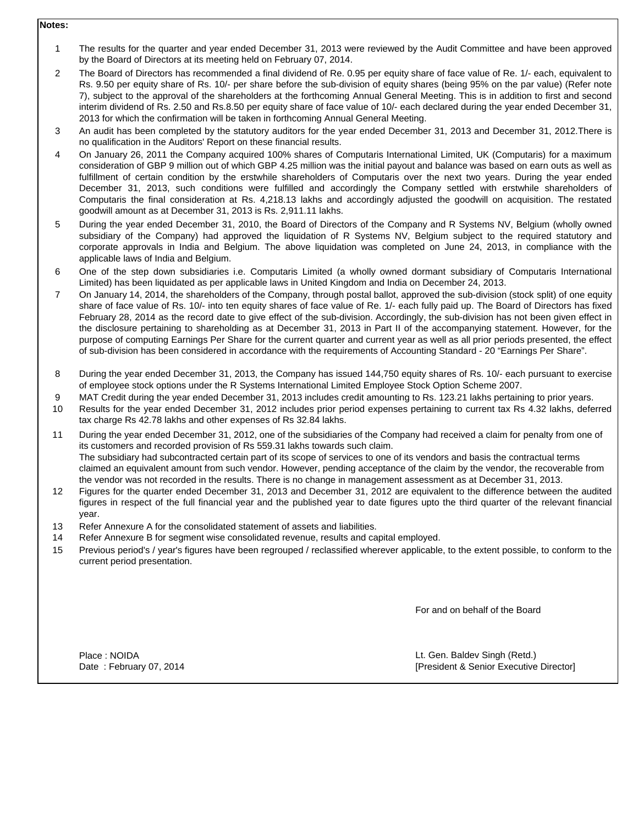### **Notes:**

- 1 The results for the quarter and year ended December 31, 2013 were reviewed by the Audit Committee and have been approved by the Board of Directors at its meeting held on February 07, 2014.
- $\mathfrak{p}$ The Board of Directors has recommended a final dividend of Re. 0.95 per equity share of face value of Re. 1/- each, equivalent to Rs. 9.50 per equity share of Rs. 10/- per share before the sub-division of equity shares (being 95% on the par value) (Refer note 7), subject to the approval of the shareholders at the forthcoming Annual General Meeting. This is in addition to first and second interim dividend of Rs. 2.50 and Rs.8.50 per equity share of face value of 10/- each declared during the year ended December 31, 2013 for which the confirmation will be taken in forthcoming Annual General Meeting.
- 3 An audit has been completed by the statutory auditors for the year ended December 31, 2013 and December 31, 2012.There is no qualification in the Auditors' Report on these financial results.
- 4 On January 26, 2011 the Company acquired 100% shares of Computaris International Limited, UK (Computaris) for a maximum consideration of GBP 9 million out of which GBP 4.25 million was the initial payout and balance was based on earn outs as well as fulfillment of certain condition by the erstwhile shareholders of Computaris over the next two years. During the year ended December 31, 2013, such conditions were fulfilled and accordingly the Company settled with erstwhile shareholders of Computaris the final consideration at Rs. 4,218.13 lakhs and accordingly adjusted the goodwill on acquisition. The restated goodwill amount as at December 31, 2013 is Rs. 2,911.11 lakhs.
- 5 During the year ended December 31, 2010, the Board of Directors of the Company and R Systems NV, Belgium (wholly owned subsidiary of the Company) had approved the liquidation of R Systems NV, Belgium subject to the required statutory and corporate approvals in India and Belgium. The above liquidation was completed on June 24, 2013, in compliance with the applicable laws of India and Belgium.
- 6 One of the step down subsidiaries i.e. Computaris Limited (a wholly owned dormant subsidiary of Computaris International Limited) has been liquidated as per applicable laws in United Kingdom and India on December 24, 2013.
- 7 On January 14, 2014, the shareholders of the Company, through postal ballot, approved the sub-division (stock split) of one equity share of face value of Rs. 10/- into ten equity shares of face value of Re. 1/- each fully paid up. The Board of Directors has fixed February 28, 2014 as the record date to give effect of the sub-division. Accordingly, the sub-division has not been given effect in the disclosure pertaining to shareholding as at December 31, 2013 in Part II of the accompanying statement. However, for the purpose of computing Earnings Per Share for the current quarter and current year as well as all prior periods presented, the effect of sub-division has been considered in accordance with the requirements of Accounting Standard - 20 "Earnings Per Share".
- 8 During the year ended December 31, 2013, the Company has issued 144,750 equity shares of Rs. 10/- each pursuant to exercise of employee stock options under the R Systems International Limited Employee Stock Option Scheme 2007.
- 9 MAT Credit during the year ended December 31, 2013 includes credit amounting to Rs. 123.21 lakhs pertaining to prior years.
- 10 Results for the year ended December 31, 2012 includes prior period expenses pertaining to current tax Rs 4.32 lakhs, deferred tax charge Rs 42.78 lakhs and other expenses of Rs 32.84 lakhs.
- 11 During the year ended December 31, 2012, one of the subsidiaries of the Company had received a claim for penalty from one of its customers and recorded provision of Rs 559.31 lakhs towards such claim. The subsidiary had subcontracted certain part of its scope of services to one of its vendors and basis the contractual terms claimed an equivalent amount from such vendor. However, pending acceptance of the claim by the vendor, the recoverable from the vendor was not recorded in the results. There is no change in management assessment as at December 31, 2013.
- 12 Figures for the quarter ended December 31, 2013 and December 31, 2012 are equivalent to the difference between the audited figures in respect of the full financial year and the published year to date figures upto the third quarter of the relevant financial year.
- 13 Refer Annexure A for the consolidated statement of assets and liabilities.
- 14 Refer Annexure B for segment wise consolidated revenue, results and capital employed.
- 15 Previous period's / year's figures have been regrouped / reclassified wherever applicable, to the extent possible, to conform to the current period presentation.

For and on behalf of the Board

Place : NOIDA **Details and Contract Contract Contract Contract Contract Contract Contract Contract Contract Contract Contract Contract Contract Contract Contract Contract Contract Contract Contract Contract Contract Contra** Date : February 07, 2014 **[President & Senior Executive Director**]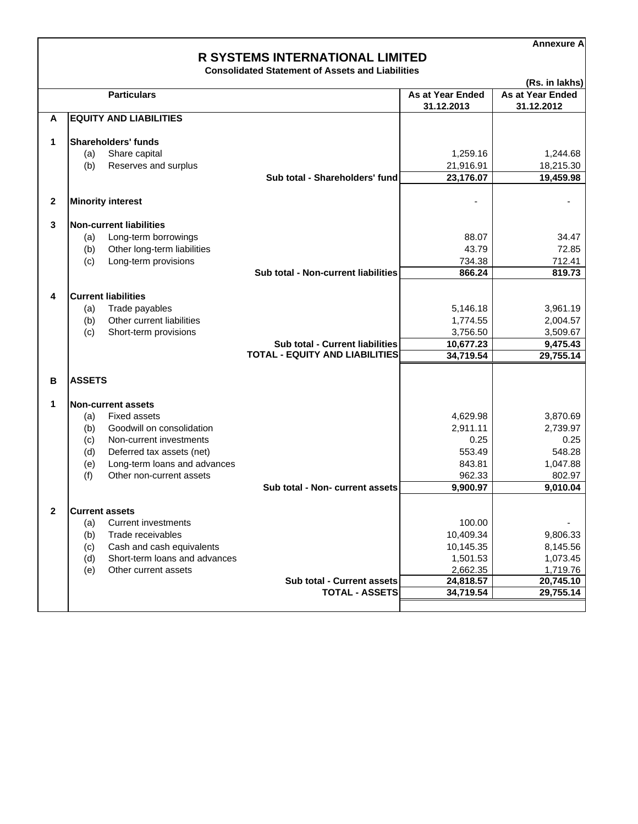**Annexure A**

# **R SYSTEMS INTERNATIONAL LIMITED**

**Consolidated Statement of Assets and Liabilities**

|              |               |                                                            |                                                                                 |                         | (Rs. in lakhs)        |
|--------------|---------------|------------------------------------------------------------|---------------------------------------------------------------------------------|-------------------------|-----------------------|
|              |               | <b>Particulars</b>                                         |                                                                                 | <b>As at Year Ended</b> | As at Year Ended      |
|              |               |                                                            |                                                                                 | 31.12.2013              | 31.12.2012            |
| A            |               | <b>EQUITY AND LIABILITIES</b>                              |                                                                                 |                         |                       |
|              |               |                                                            |                                                                                 |                         |                       |
| 1            |               | <b>Shareholders' funds</b>                                 |                                                                                 |                         |                       |
|              | (a)<br>(b)    | Share capital<br>Reserves and surplus                      |                                                                                 | 1,259.16<br>21,916.91   | 1,244.68<br>18,215.30 |
|              |               |                                                            | Sub total - Shareholders' fund                                                  | 23,176.07               | 19,459.98             |
|              |               |                                                            |                                                                                 |                         |                       |
| $\mathbf{2}$ |               | <b>Minority interest</b>                                   |                                                                                 |                         |                       |
|              |               |                                                            |                                                                                 |                         |                       |
| 3            |               | <b>Non-current liabilities</b>                             |                                                                                 |                         |                       |
|              | (a)           | Long-term borrowings                                       |                                                                                 | 88.07                   | 34.47                 |
|              | (b)           | Other long-term liabilities                                |                                                                                 | 43.79                   | 72.85                 |
|              | (c)           | Long-term provisions                                       |                                                                                 | 734.38                  | 712.41                |
|              |               |                                                            | <b>Sub total - Non-current liabilities</b>                                      | 866.24                  | 819.73                |
|              |               |                                                            |                                                                                 |                         |                       |
| 4            |               | <b>Current liabilities</b>                                 |                                                                                 |                         |                       |
|              | (a)           | Trade payables                                             |                                                                                 | 5,146.18                | 3,961.19              |
|              | (b)           | Other current liabilities                                  |                                                                                 | 1,774.55                | 2,004.57              |
|              | (c)           | Short-term provisions                                      |                                                                                 | 3,756.50                | 3,509.67              |
|              |               |                                                            | <b>Sub total - Current liabilities</b><br><b>TOTAL - EQUITY AND LIABILITIES</b> | 10,677.23<br>34,719.54  | 9,475.43<br>29,755.14 |
|              |               |                                                            |                                                                                 |                         |                       |
| В            | <b>ASSETS</b> |                                                            |                                                                                 |                         |                       |
|              |               |                                                            |                                                                                 |                         |                       |
| 1            |               | <b>Non-current assets</b>                                  |                                                                                 |                         |                       |
|              | (a)           | <b>Fixed assets</b>                                        |                                                                                 | 4,629.98                | 3,870.69              |
|              | (b)           | Goodwill on consolidation                                  |                                                                                 | 2,911.11                | 2,739.97              |
|              | (c)           | Non-current investments                                    |                                                                                 | 0.25                    | 0.25                  |
|              | (d)           | Deferred tax assets (net)                                  |                                                                                 | 553.49                  | 548.28                |
|              | (e)           | Long-term loans and advances                               |                                                                                 | 843.81                  | 1,047.88              |
|              | (f)           | Other non-current assets                                   |                                                                                 | 962.33                  | 802.97                |
|              |               |                                                            | Sub total - Non- current assets                                                 | 9,900.97                | 9,010.04              |
|              |               |                                                            |                                                                                 |                         |                       |
| $\mathbf{2}$ |               | <b>Current assets</b>                                      |                                                                                 |                         |                       |
|              | (a)           | <b>Current investments</b>                                 |                                                                                 | 100.00                  |                       |
|              | (b)           | Trade receivables                                          |                                                                                 | 10,409.34               | 9,806.33              |
|              | (c)           | Cash and cash equivalents<br>Short-term loans and advances |                                                                                 | 10,145.35<br>1,501.53   | 8,145.56<br>1,073.45  |
|              | (d)<br>(e)    | Other current assets                                       |                                                                                 | 2,662.35                | 1,719.76              |
|              |               |                                                            | Sub total - Current assets                                                      | 24,818.57               | 20,745.10             |
|              |               |                                                            | <b>TOTAL - ASSETS</b>                                                           | 34,719.54               | 29,755.14             |
|              |               |                                                            |                                                                                 |                         |                       |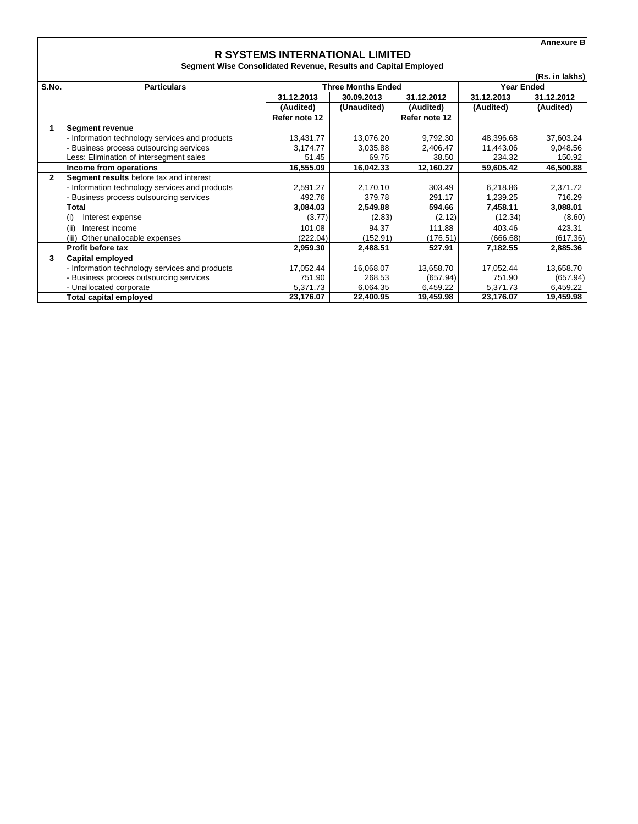**Annexure B**

#### **R SYSTEMS INTERNATIONAL LIMITED Segment Wise Consolidated Revenue, Results and Capital Employed**

|              | (Rs. in lakhs)                               |                           |             |               |                   |            |  |
|--------------|----------------------------------------------|---------------------------|-------------|---------------|-------------------|------------|--|
| S.No.        | <b>Particulars</b>                           | <b>Three Months Ended</b> |             |               | <b>Year Ended</b> |            |  |
|              |                                              | 31.12.2013                | 30.09.2013  | 31.12.2012    | 31.12.2013        | 31.12.2012 |  |
|              |                                              | (Audited)                 | (Unaudited) | (Audited)     | (Audited)         | (Audited)  |  |
|              |                                              | Refer note 12             |             | Refer note 12 |                   |            |  |
| 1            | <b>Segment revenue</b>                       |                           |             |               |                   |            |  |
|              | Information technology services and products | 13,431.77                 | 13,076.20   | 9,792.30      | 48,396.68         | 37,603.24  |  |
|              | Business process outsourcing services        | 3,174.77                  | 3,035.88    | 2,406.47      | 11,443.06         | 9,048.56   |  |
|              | Less: Elimination of intersegment sales      | 51.45                     | 69.75       | 38.50         | 234.32            | 150.92     |  |
|              | Income from operations                       | 16,555.09                 | 16,042.33   | 12,160.27     | 59,605.42         | 46,500.88  |  |
| $\mathbf{2}$ | Segment results before tax and interest      |                           |             |               |                   |            |  |
|              | Information technology services and products | 2,591.27                  | 2,170.10    | 303.49        | 6,218.86          | 2,371.72   |  |
|              | Business process outsourcing services        | 492.76                    | 379.78      | 291.17        | 1,239.25          | 716.29     |  |
|              | <b>Total</b>                                 | 3,084.03                  | 2,549.88    | 594.66        | 7,458.11          | 3,088.01   |  |
|              | $\mathsf{I}(\mathsf{i})$<br>Interest expense | (3.77)                    | (2.83)      | (2.12)        | (12.34)           | (8.60)     |  |
|              | (ii)<br>Interest income                      | 101.08                    | 94.37       | 111.88        | 403.46            | 423.31     |  |
|              | Other unallocable expenses<br>(iii)          | (222.04)                  | (152.91)    | (176.51)      | (666.68)          | (617.36)   |  |
|              | <b>Profit before tax</b>                     | 2,959.30                  | 2,488.51    | 527.91        | 7,182.55          | 2,885.36   |  |
| 3            | Capital employed                             |                           |             |               |                   |            |  |
|              | Information technology services and products | 17,052.44                 | 16,068.07   | 13.658.70     | 17,052.44         | 13,658.70  |  |
|              | Business process outsourcing services        | 751.90                    | 268.53      | (657.94)      | 751.90            | (657.94)   |  |
|              | Unallocated corporate                        | 5,371.73                  | 6,064.35    | 6,459.22      | 5,371.73          | 6,459.22   |  |
|              | Total capital employed                       | 23,176.07                 | 22,400.95   | 19,459.98     | 23,176.07         | 19,459.98  |  |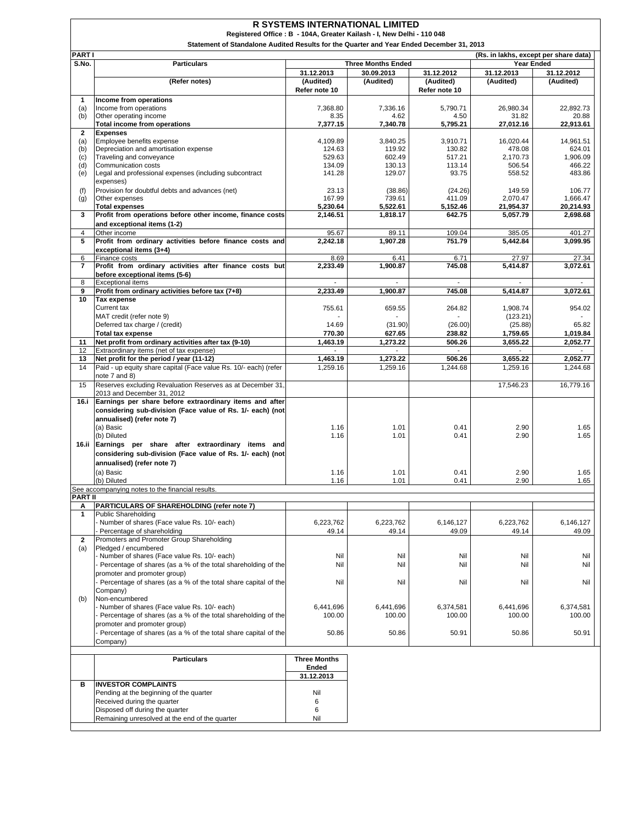|                       | <b>R SYSTEMS INTERNATIONAL LIMITED</b><br>Registered Office: B - 104A, Greater Kailash - I, New Delhi - 110 048 |                              |                                         |                          |                                       |                    |  |
|-----------------------|-----------------------------------------------------------------------------------------------------------------|------------------------------|-----------------------------------------|--------------------------|---------------------------------------|--------------------|--|
|                       | Statement of Standalone Audited Results for the Quarter and Year Ended December 31, 2013                        |                              |                                         |                          |                                       |                    |  |
| <b>PARTI</b>          |                                                                                                                 |                              |                                         |                          | (Rs. in lakhs, except per share data) |                    |  |
| S.No.                 | <b>Particulars</b>                                                                                              | 31.12.2013                   | <b>Three Months Ended</b><br>30.09.2013 | 31.12.2012               | Year Ended<br>31.12.2013              | 31.12.2012         |  |
|                       | (Refer notes)                                                                                                   | (Audited)                    | (Audited)                               | (Audited)                | (Audited)                             | (Audited)          |  |
|                       |                                                                                                                 | Refer note 10                |                                         | Refer note 10            |                                       |                    |  |
| 1<br>(a)              | Income from operations<br>Income from operations                                                                | 7,368.80                     | 7,336.16                                | 5,790.71                 | 26,980.34                             | 22,892.73          |  |
| (b)                   | Other operating income                                                                                          | 8.35                         | 4.62                                    | 4.50                     | 31.82                                 | 20.88              |  |
| $\mathbf{2}$          | <b>Total income from operations</b>                                                                             | 7,377.15                     | 7,340.78                                | 5,795.21                 | 27,012.16                             | 22,913.61          |  |
| (a)                   | <b>Expenses</b><br>Employee benefits expense                                                                    | 4,109.89                     | 3,840.25                                | 3,910.71                 | 16,020.44                             | 14,961.51          |  |
| (b)                   | Depreciation and amortisation expense                                                                           | 124.63                       | 119.92                                  | 130.82                   | 478.08                                | 624.01             |  |
| (c)<br>(d)            | Traveling and conveyance<br>Communication costs                                                                 | 529.63<br>134.09             | 602.49<br>130.13                        | 517.21<br>113.14         | 2,170.73<br>506.54                    | 1,906.09<br>466.22 |  |
| (e)                   | Legal and professional expenses (including subcontract                                                          | 141.28                       | 129.07                                  | 93.75                    | 558.52                                | 483.86             |  |
| (f)                   | expenses)<br>Provision for doubtful debts and advances (net)                                                    | 23.13                        | (38.86)                                 | (24.26)                  | 149.59                                | 106.77             |  |
| (g)                   | Other expenses                                                                                                  | 167.99                       | 739.61                                  | 411.09                   | 2,070.47                              | 1,666.47           |  |
|                       | <b>Total expenses</b>                                                                                           | 5,230.64                     | 5,522.61                                | 5,152.46                 | 21,954.37                             | 20,214.93          |  |
| 3                     | Profit from operations before other income, finance costs<br>and exceptional items (1-2)                        | 2,146.51                     | 1,818.17                                | 642.75                   | 5,057.79                              | 2,698.68           |  |
| 4                     | Other income                                                                                                    | 95.67                        | 89.11                                   | 109.04                   | 385.05                                | 401.27             |  |
| 5                     | Profit from ordinary activities before finance costs and                                                        | 2,242.18                     | 1,907.28                                | 751.79                   | 5,442.84                              | 3,099.95           |  |
| 6                     | exceptional items (3+4)<br>Finance costs                                                                        | 8.69                         | 6.41                                    | 6.71                     | 27.97                                 | 27.34              |  |
| $\overline{7}$        | Profit from ordinary activities after finance costs but                                                         | 2,233.49                     | 1,900.87                                | 745.08                   | 5,414.87                              | 3,072.61           |  |
| 8                     | before exceptional items (5-6)<br><b>Exceptional items</b>                                                      |                              |                                         | $\overline{\phantom{a}}$ |                                       |                    |  |
| 9                     | Profit from ordinary activities before tax (7+8)                                                                | 2.233.49                     | 1,900.87                                | 745.08                   | 5.414.87                              | 3,072.61           |  |
| 10                    | <b>Tax expense</b>                                                                                              |                              |                                         |                          |                                       |                    |  |
|                       | <b>Current tax</b><br>MAT credit (refer note 9)                                                                 | 755.61                       | 659.55                                  | 264.82                   | 1,908.74<br>(123.21)                  | 954.02             |  |
|                       | Deferred tax charge / (credit)                                                                                  | 14.69                        | (31.90)                                 | (26.00)                  | (25.88)                               | 65.82              |  |
|                       | <b>Total tax expense</b>                                                                                        | 770.30                       | 627.65                                  | 238.82                   | 1,759.65                              | 1,019.84           |  |
| 11<br>12 <sup>2</sup> | Net profit from ordinary activities after tax (9-10)<br>Extraordinary items (net of tax expense)                | 1,463.19                     | 1,273.22                                | 506.26                   | 3,655.22                              | 2,052.77           |  |
| 13                    | Net profit for the period / year (11-12)                                                                        | 1,463.19                     | 1,273.22                                | 506.26                   | 3,655.22                              | 2,052.77           |  |
| 14                    | Paid - up equity share capital (Face value Rs. 10/- each) (refer                                                | 1,259.16                     | 1,259.16                                | 1,244.68                 | 1,259.16                              | 1,244.68           |  |
| 15                    | note 7 and 8)<br>Reserves excluding Revaluation Reserves as at December 31,                                     |                              |                                         |                          | 17,546.23                             | 16,779.16          |  |
|                       | 2013 and December 31, 2012                                                                                      |                              |                                         |                          |                                       |                    |  |
| 16.i                  | Earnings per share before extraordinary items and after                                                         |                              |                                         |                          |                                       |                    |  |
|                       | considering sub-division (Face value of Rs. 1/- each) (not<br>annualised) (refer note 7)                        |                              |                                         |                          |                                       |                    |  |
|                       | (a) Basic                                                                                                       | 1.16                         | 1.01                                    | 0.41                     | 2.90                                  | 1.65               |  |
|                       | (b) Diluted<br>16.ii Earnings per share after extraordinary items and                                           | 1.16                         | 1.01                                    | 0.41                     | 2.90                                  | 1.65               |  |
|                       | considering sub-division (Face value of Rs. 1/- each) (not                                                      |                              |                                         |                          |                                       |                    |  |
|                       | annualised) (refer note 7)                                                                                      |                              |                                         |                          |                                       |                    |  |
|                       | (a) Basic                                                                                                       | 1.16                         | 1.01                                    | 0.41                     | 2.90                                  | 1.65               |  |
|                       | (b) Diluted<br>See accompanying notes to the financial results.                                                 | 1.16                         | 1.01                                    | 0.41                     | 2.90                                  | 1.65               |  |
| <b>PART II</b>        |                                                                                                                 |                              |                                         |                          |                                       |                    |  |
| Α<br>$\mathbf{1}$     | PARTICULARS OF SHAREHOLDING (refer note 7)<br><b>Public Shareholding</b>                                        |                              |                                         |                          |                                       |                    |  |
|                       | Number of shares (Face value Rs. 10/- each)                                                                     | 6,223,762                    | 6,223,762                               | 6,146,127                | 6,223,762                             | 6,146,127          |  |
|                       | Percentage of shareholding<br>Promoters and Promoter Group Shareholding                                         | 49.14                        | 49.14                                   | 49.09                    | 49.14                                 | 49.09              |  |
| 2<br>(a)              | Pledged / encumbered                                                                                            |                              |                                         |                          |                                       |                    |  |
|                       | Number of shares (Face value Rs. 10/- each)                                                                     | Nil                          | Nil                                     | Nil                      | Nil                                   | Nil                |  |
|                       | Percentage of shares (as a % of the total shareholding of the<br>promoter and promoter group)                   | Nil                          | Nil                                     | Nil                      | Nil                                   | Nil                |  |
|                       | Percentage of shares (as a % of the total share capital of the                                                  | Nil                          | Nil                                     | Nil                      | Nil                                   | Nil                |  |
|                       | Company)                                                                                                        |                              |                                         |                          |                                       |                    |  |
| (b)                   | Non-encumbered<br>Number of shares (Face value Rs. 10/- each)                                                   | 6,441,696                    | 6,441,696                               | 6.374.581                | 6,441,696                             | 6,374,581          |  |
|                       | Percentage of shares (as a % of the total shareholding of the                                                   | 100.00                       | 100.00                                  | 100.00                   | 100.00                                | 100.00             |  |
|                       | promoter and promoter group)                                                                                    |                              |                                         |                          |                                       |                    |  |
|                       | Percentage of shares (as a % of the total share capital of the<br>Company)                                      | 50.86                        | 50.86                                   | 50.91                    | 50.86                                 | 50.91              |  |
|                       |                                                                                                                 |                              |                                         |                          |                                       |                    |  |
|                       | <b>Particulars</b>                                                                                              | <b>Three Months</b><br>Ended |                                         |                          |                                       |                    |  |
|                       |                                                                                                                 | 31.12.2013                   |                                         |                          |                                       |                    |  |
| в                     | <b>INVESTOR COMPLAINTS</b><br>Pending at the beginning of the quarter                                           | Nil                          |                                         |                          |                                       |                    |  |
|                       | Received during the quarter                                                                                     | 6                            |                                         |                          |                                       |                    |  |
|                       | Disposed off during the quarter                                                                                 | 6                            |                                         |                          |                                       |                    |  |
|                       | Remaining unresolved at the end of the quarter                                                                  | Nil                          |                                         |                          |                                       |                    |  |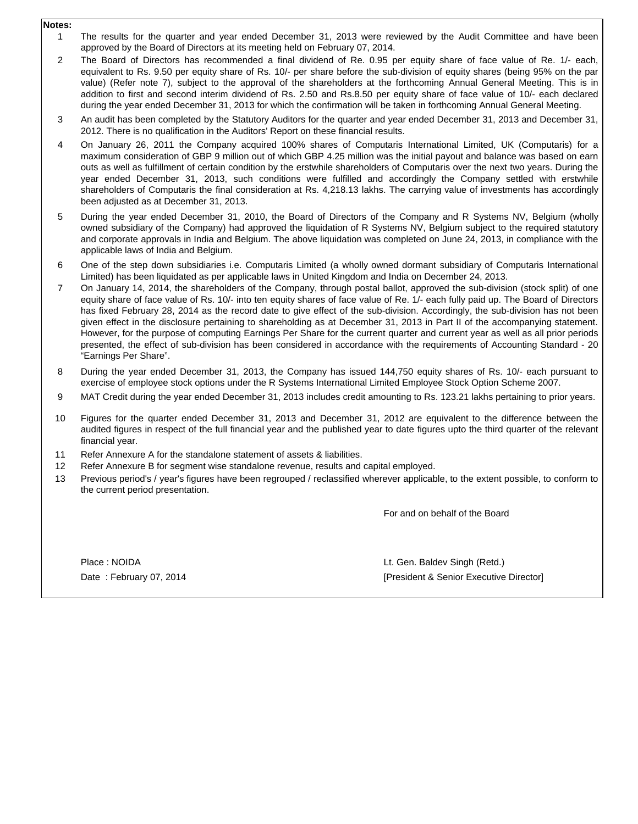- **Notes:**
	- 1 The results for the quarter and year ended December 31, 2013 were reviewed by the Audit Committee and have been approved by the Board of Directors at its meeting held on February 07, 2014.
	- 2 The Board of Directors has recommended a final dividend of Re. 0.95 per equity share of face value of Re. 1/- each, equivalent to Rs. 9.50 per equity share of Rs. 10/- per share before the sub-division of equity shares (being 95% on the par value) (Refer note 7), subject to the approval of the shareholders at the forthcoming Annual General Meeting. This is in addition to first and second interim dividend of Rs. 2.50 and Rs.8.50 per equity share of face value of 10/- each declared during the year ended December 31, 2013 for which the confirmation will be taken in forthcoming Annual General Meeting.
	- 3 An audit has been completed by the Statutory Auditors for the quarter and year ended December 31, 2013 and December 31, 2012. There is no qualification in the Auditors' Report on these financial results.
	- 4 On January 26, 2011 the Company acquired 100% shares of Computaris International Limited, UK (Computaris) for a maximum consideration of GBP 9 million out of which GBP 4.25 million was the initial payout and balance was based on earn outs as well as fulfillment of certain condition by the erstwhile shareholders of Computaris over the next two years. During the year ended December 31, 2013, such conditions were fulfilled and accordingly the Company settled with erstwhile shareholders of Computaris the final consideration at Rs. 4,218.13 lakhs. The carrying value of investments has accordingly been adjusted as at December 31, 2013.
	- 5 During the year ended December 31, 2010, the Board of Directors of the Company and R Systems NV, Belgium (wholly owned subsidiary of the Company) had approved the liquidation of R Systems NV, Belgium subject to the required statutory and corporate approvals in India and Belgium. The above liquidation was completed on June 24, 2013, in compliance with the applicable laws of India and Belgium.
	- 6 One of the step down subsidiaries i.e. Computaris Limited (a wholly owned dormant subsidiary of Computaris International Limited) has been liquidated as per applicable laws in United Kingdom and India on December 24, 2013.
	- 7 On January 14, 2014, the shareholders of the Company, through postal ballot, approved the sub-division (stock split) of one equity share of face value of Rs. 10/- into ten equity shares of face value of Re. 1/- each fully paid up. The Board of Directors has fixed February 28, 2014 as the record date to give effect of the sub-division. Accordingly, the sub-division has not been given effect in the disclosure pertaining to shareholding as at December 31, 2013 in Part II of the accompanying statement. However, for the purpose of computing Earnings Per Share for the current quarter and current year as well as all prior periods presented, the effect of sub-division has been considered in accordance with the requirements of Accounting Standard - 20 "Earnings Per Share".
	- 8 During the year ended December 31, 2013, the Company has issued 144,750 equity shares of Rs. 10/- each pursuant to exercise of employee stock options under the R Systems International Limited Employee Stock Option Scheme 2007.
	- 9 MAT Credit during the year ended December 31, 2013 includes credit amounting to Rs. 123.21 lakhs pertaining to prior years.
	- 10 Figures for the quarter ended December 31, 2013 and December 31, 2012 are equivalent to the difference between the audited figures in respect of the full financial year and the published year to date figures upto the third quarter of the relevant financial year.
	- 11 Refer Annexure A for the standalone statement of assets & liabilities.
	- 12 Refer Annexure B for segment wise standalone revenue, results and capital employed.
	- 13 Previous period's / year's figures have been regrouped / reclassified wherever applicable, to the extent possible, to conform to the current period presentation.

For and on behalf of the Board

Place : NOIDA Date : February 07, 2014 [President & Senior Executive Director] Lt. Gen. Baldev Singh (Retd.)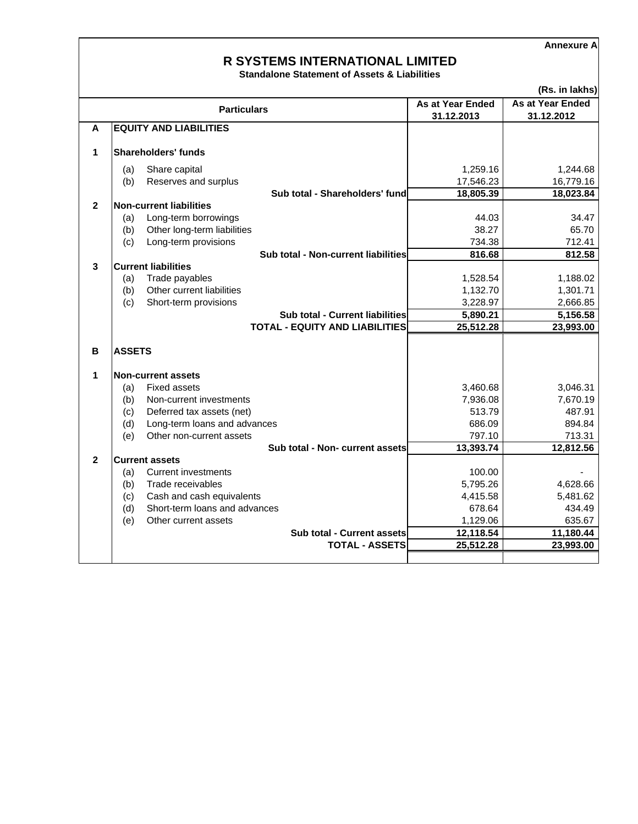**Annexure A**

## **R SYSTEMS INTERNATIONAL LIMITED**

**Standalone Statement of Assets & Liabilities**

|                |               |                                        |                  | (Rs. in lakhs)   |  |
|----------------|---------------|----------------------------------------|------------------|------------------|--|
|                |               | <b>Particulars</b>                     | As at Year Ended | As at Year Ended |  |
|                |               |                                        | 31.12.2013       | 31.12.2012       |  |
| A              |               | <b>EQUITY AND LIABILITIES</b>          |                  |                  |  |
| 1              |               | Shareholders' funds                    |                  |                  |  |
|                |               |                                        |                  |                  |  |
|                | (a)           | Share capital                          | 1,259.16         | 1,244.68         |  |
|                | (b)           | Reserves and surplus                   | 17,546.23        | 16,779.16        |  |
|                |               | Sub total - Shareholders' fund         | 18,805.39        | 18,023.84        |  |
| $\overline{2}$ |               | Non-current liabilities                |                  |                  |  |
|                | (a)           | Long-term borrowings                   | 44.03            | 34.47            |  |
|                | (b)           | Other long-term liabilities            | 38.27            | 65.70            |  |
|                | (c)           | Long-term provisions                   | 734.38           | 712.41           |  |
|                |               | Sub total - Non-current liabilities    | 816.68           | 812.58           |  |
| 3              |               | <b>Current liabilities</b>             |                  |                  |  |
|                | (a)           | Trade payables                         | 1,528.54         | 1,188.02         |  |
|                | (b)           | Other current liabilities              | 1,132.70         | 1,301.71         |  |
|                | (c)           | Short-term provisions                  | 3,228.97         | 2,666.85         |  |
|                |               | <b>Sub total - Current liabilities</b> | 5,890.21         | 5,156.58         |  |
|                |               | <b>TOTAL - EQUITY AND LIABILITIES</b>  | 25,512.28        | 23,993.00        |  |
|                |               |                                        |                  |                  |  |
| В              | <b>ASSETS</b> |                                        |                  |                  |  |
|                |               |                                        |                  |                  |  |
| 1              |               | <b>Non-current assets</b>              |                  |                  |  |
|                | (a)           | <b>Fixed assets</b>                    | 3,460.68         | 3,046.31         |  |
|                | (b)           | Non-current investments                | 7,936.08         | 7,670.19         |  |
|                | (c)           | Deferred tax assets (net)              | 513.79           | 487.91           |  |
|                | (d)           | Long-term loans and advances           | 686.09           | 894.84           |  |
|                | (e)           | Other non-current assets               | 797.10           | 713.31           |  |
|                |               | Sub total - Non- current assets        | 13,393.74        | 12,812.56        |  |
| $\mathbf{2}$   |               | <b>Current assets</b>                  |                  |                  |  |
|                | (a)           | <b>Current investments</b>             | 100.00           |                  |  |
|                | (b)           | Trade receivables                      | 5,795.26         | 4,628.66         |  |
|                | (c)           | Cash and cash equivalents              | 4,415.58         | 5,481.62         |  |
|                | (d)           | Short-term loans and advances          | 678.64           | 434.49           |  |
|                | (e)           | Other current assets                   | 1,129.06         | 635.67           |  |
|                |               | Sub total - Current assets             | 12,118.54        | 11,180.44        |  |
|                |               | <b>TOTAL - ASSETS</b>                  | 25,512.28        | 23,993.00        |  |
|                |               |                                        |                  |                  |  |